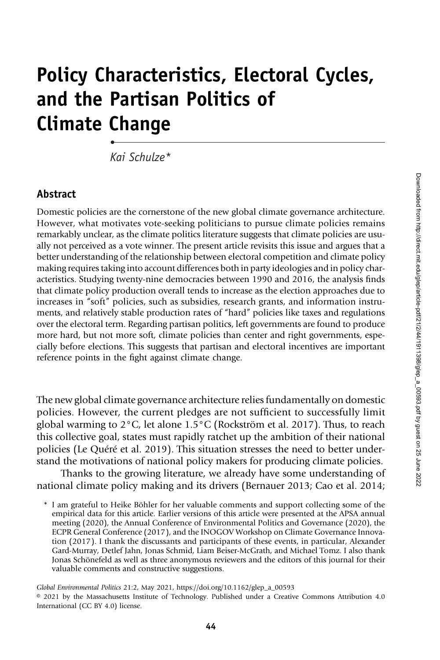Domestic policies are the cornerstone of the new global climate governance architecture. However, what motivates vote-seeking politicians to pursue climate policies remains remarkably unclear, as the climate politics literature suggests that climate policies are usually not perceived as a vote winner. The present article revisits this issue and argues that a better understanding of the relationship between electoral competition and climate policy making requires taking into account differences both in party ideologies and in policy characteristics. Studying twenty-nine democracies between 1990 and 2016, the analysis finds that climate policy production overall tends to increase as the election approaches due to increases in "soft" policies, such as subsidies, research grants, and information instruments, and relatively stable production rates of "hard" policies like taxes and regulations over the electoral term. Regarding partisan politics, left governments are found to produce more hard, but not more soft, climate policies than center and right governments, especially before elections. This suggests that partisan and electoral incentives are important reference points in the fight against climate change.

Policy Characteristics, Electoral Cycles,

and the Partisan Politics of

Kai Schulze\*

Climate Change

Abstract

•

The new global climate governance architecture relies fundamentally on domestic policies. However, the current pledges are not sufficient to successfully limit global warming to 2°C, let alone 1.5°C (Rockström et al. 2017). Thus, to reach this collective goal, states must rapidly ratchet up the ambition of their national policies (Le Quéré et al. 2019). This situation stresses the need to better understand the motivations of national policy makers for producing climate policies.

Thanks to the growing literature, we already have some understanding of national climate policy making and its drivers (Bernauer 2013; Cao et al. 2014;

\* I am grateful to Heike Böhler for her valuable comments and support collecting some of the empirical data for this article. Earlier versions of this article were presented at the APSA annual meeting (2020), the Annual Conference of Environmental Politics and Governance (2020), the ECPR General Conference (2017), and the INOGOV Workshop on Climate Governance Innovation (2017). I thank the discussants and participants of these events, in particular, Alexander Gard-Murray, Detlef Jahn, Jonas Schmid, Liam Beiser-McGrath, and Michael Tomz. I also thank Jonas Schönefeld as well as three anonymous reviewers and the editors of this journal for their valuable comments and constructive suggestions.

Global Environmental Politics 21:2, May 2021, https://doi.org/10.1162/glep\_a\_00593

<sup>© 2021</sup> by the Massachusetts Institute of Technology. Published under a Creative Commons Attribution 4.0 International (CC BY 4.0) license.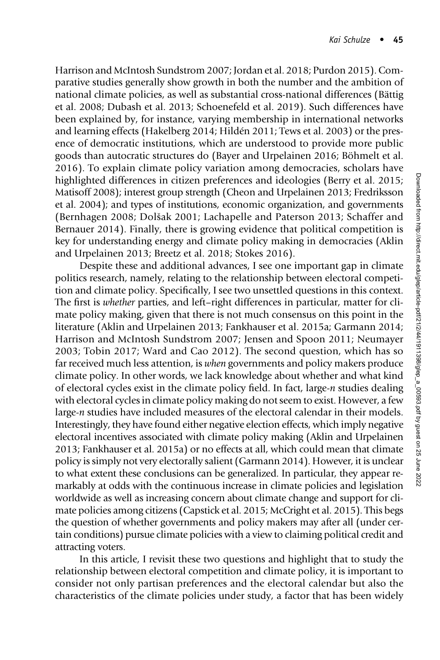Harrison and McIntosh Sundstrom 2007; Jordan et al. 2018; Purdon 2015). Comparative studies generally show growth in both the number and the ambition of national climate policies, as well as substantial cross-national differences (Bättig et al. 2008; Dubash et al. 2013; Schoenefeld et al. 2019). Such differences have been explained by, for instance, varying membership in international networks and learning effects (Hakelberg 2014; Hildén 2011; Tews et al. 2003) or the presence of democratic institutions, which are understood to provide more public goods than autocratic structures do (Bayer and Urpelainen 2016; Böhmelt et al. 2016). To explain climate policy variation among democracies, scholars have highlighted differences in citizen preferences and ideologies (Berry et al. 2015; Matisoff 2008); interest group strength (Cheon and Urpelainen 2013; Fredriksson et al. 2004); and types of institutions, economic organization, and governments (Bernhagen 2008; Dolšak 2001; Lachapelle and Paterson 2013; Schaffer and Bernauer 2014). Finally, there is growing evidence that political competition is key for understanding energy and climate policy making in democracies (Aklin and Urpelainen 2013; Breetz et al. 2018; Stokes 2016).

Despite these and additional advances, I see one important gap in climate politics research, namely, relating to the relationship between electoral competition and climate policy. Specifically, I see two unsettled questions in this context. The first is whether parties, and left–right differences in particular, matter for climate policy making, given that there is not much consensus on this point in the literature (Aklin and Urpelainen 2013; Fankhauser et al. 2015a; Garmann 2014; Harrison and McIntosh Sundstrom 2007; Jensen and Spoon 2011; Neumayer 2003; Tobin 2017; Ward and Cao 2012). The second question, which has so far received much less attention, is when governments and policy makers produce climate policy. In other words, we lack knowledge about whether and what kind of electoral cycles exist in the climate policy field. In fact, large-n studies dealing with electoral cycles in climate policy making do not seem to exist. However, a few large-n studies have included measures of the electoral calendar in their models. Interestingly, they have found either negative election effects, which imply negative electoral incentives associated with climate policy making (Aklin and Urpelainen 2013; Fankhauser et al. 2015a) or no effects at all, which could mean that climate policy is simply not very electorally salient (Garmann 2014). However, it is unclear to what extent these conclusions can be generalized. In particular, they appear remarkably at odds with the continuous increase in climate policies and legislation worldwide as well as increasing concern about climate change and support for climate policies among citizens (Capstick et al. 2015; McCright et al. 2015). This begs the question of whether governments and policy makers may after all (under certain conditions) pursue climate policies with a view to claiming political credit and attracting voters.

In this article, I revisit these two questions and highlight that to study the relationship between electoral competition and climate policy, it is important to consider not only partisan preferences and the electoral calendar but also the characteristics of the climate policies under study, a factor that has been widely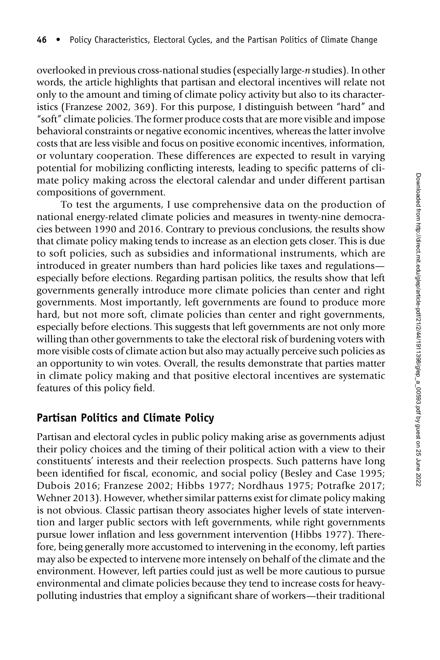overlooked in previous cross-national studies (especially large-n studies). In other words, the article highlights that partisan and electoral incentives will relate not only to the amount and timing of climate policy activity but also to its characteristics (Franzese 2002, 369). For this purpose, I distinguish between "hard" and "soft" climate policies. The former produce costs that are more visible and impose behavioral constraints or negative economic incentives, whereas the latter involve costs that are less visible and focus on positive economic incentives, information, or voluntary cooperation. These differences are expected to result in varying potential for mobilizing conflicting interests, leading to specific patterns of climate policy making across the electoral calendar and under different partisan compositions of government.

To test the arguments, I use comprehensive data on the production of national energy-related climate policies and measures in twenty-nine democracies between 1990 and 2016. Contrary to previous conclusions, the results show that climate policy making tends to increase as an election gets closer. This is due to soft policies, such as subsidies and informational instruments, which are introduced in greater numbers than hard policies like taxes and regulations especially before elections. Regarding partisan politics, the results show that left governments generally introduce more climate policies than center and right governments. Most importantly, left governments are found to produce more hard, but not more soft, climate policies than center and right governments, especially before elections. This suggests that left governments are not only more willing than other governments to take the electoral risk of burdening voters with more visible costs of climate action but also may actually perceive such policies as an opportunity to win votes. Overall, the results demonstrate that parties matter in climate policy making and that positive electoral incentives are systematic features of this policy field.

# Partisan Politics and Climate Policy

Partisan and electoral cycles in public policy making arise as governments adjust their policy choices and the timing of their political action with a view to their constituents' interests and their reelection prospects. Such patterns have long been identified for fiscal, economic, and social policy (Besley and Case 1995; Dubois 2016; Franzese 2002; Hibbs 1977; Nordhaus 1975; Potrafke 2017; Wehner 2013). However, whether similar patterns exist for climate policy making is not obvious. Classic partisan theory associates higher levels of state intervention and larger public sectors with left governments, while right governments pursue lower inflation and less government intervention (Hibbs 1977). Therefore, being generally more accustomed to intervening in the economy, left parties may also be expected to intervene more intensely on behalf of the climate and the environment. However, left parties could just as well be more cautious to pursue environmental and climate policies because they tend to increase costs for heavypolluting industries that employ a significant share of workers—their traditional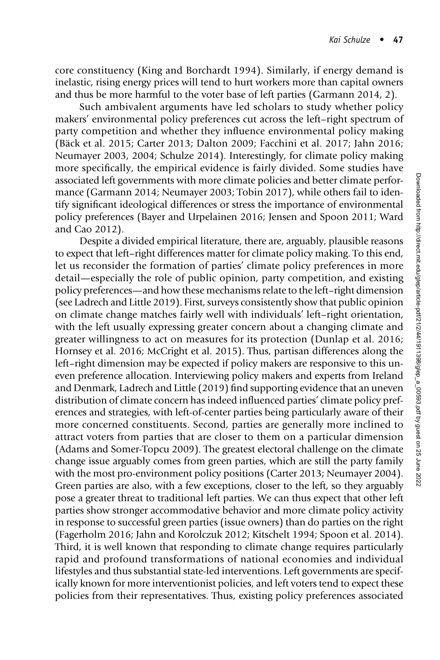core constituency (King and Borchardt 1994). Similarly, if energy demand is inelastic, rising energy prices will tend to hurt workers more than capital owners and thus be more harmful to the voter base of left parties (Garmann 2014, 2).

Such ambivalent arguments have led scholars to study whether policy makers' environmental policy preferences cut across the left–right spectrum of party competition and whether they influence environmental policy making (Bäck et al. 2015; Carter 2013; Dalton 2009; Facchini et al. 2017; Jahn 2016; Neumayer 2003, 2004; Schulze 2014). Interestingly, for climate policy making more specifically, the empirical evidence is fairly divided. Some studies have associated left governments with more climate policies and better climate performance (Garmann 2014; Neumayer 2003; Tobin 2017), while others fail to identify significant ideological differences or stress the importance of environmental policy preferences (Bayer and Urpelainen 2016; Jensen and Spoon 2011; Ward and Cao 2012).

Despite a divided empirical literature, there are, arguably, plausible reasons to expect that left–right differences matter for climate policy making. To this end, let us reconsider the formation of parties' climate policy preferences in more detail—especially the role of public opinion, party competition, and existing policy preferences—and how these mechanisms relate to the left–right dimension (see Ladrech and Little 2019). First, surveys consistently show that public opinion on climate change matches fairly well with individuals' left–right orientation, with the left usually expressing greater concern about a changing climate and greater willingness to act on measures for its protection (Dunlap et al. 2016; Hornsey et al. 2016; McCright et al. 2015). Thus, partisan differences along the left–right dimension may be expected if policy makers are responsive to this uneven preference allocation. Interviewing policy makers and experts from Ireland and Denmark, Ladrech and Little (2019) find supporting evidence that an uneven distribution of climate concern has indeed influenced parties' climate policy preferences and strategies, with left-of-center parties being particularly aware of their more concerned constituents. Second, parties are generally more inclined to attract voters from parties that are closer to them on a particular dimension (Adams and Somer-Topcu 2009). The greatest electoral challenge on the climate change issue arguably comes from green parties, which are still the party family with the most pro-environment policy positions (Carter 2013; Neumayer 2004). Green parties are also, with a few exceptions, closer to the left, so they arguably pose a greater threat to traditional left parties. We can thus expect that other left parties show stronger accommodative behavior and more climate policy activity in response to successful green parties (issue owners) than do parties on the right (Fagerholm 2016; Jahn and Korolczuk 2012; Kitschelt 1994; Spoon et al. 2014). Third, it is well known that responding to climate change requires particularly rapid and profound transformations of national economies and individual lifestyles and thus substantial state-led interventions. Left governments are specifically known for more interventionist policies, and left voters tend to expect these policies from their representatives. Thus, existing policy preferences associated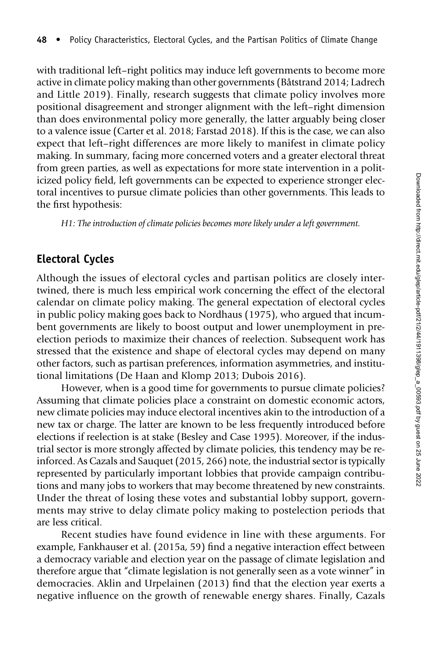with traditional left–right politics may induce left governments to become more active in climate policy making than other governments (Båtstrand 2014; Ladrech and Little 2019). Finally, research suggests that climate policy involves more positional disagreement and stronger alignment with the left–right dimension than does environmental policy more generally, the latter arguably being closer to a valence issue (Carter et al. 2018; Farstad 2018). If this is the case, we can also expect that left–right differences are more likely to manifest in climate policy making. In summary, facing more concerned voters and a greater electoral threat from green parties, as well as expectations for more state intervention in a politicized policy field, left governments can be expected to experience stronger electoral incentives to pursue climate policies than other governments. This leads to the first hypothesis:

H1: The introduction of climate policies becomes more likely under a left government.

# Electoral Cycles

Although the issues of electoral cycles and partisan politics are closely intertwined, there is much less empirical work concerning the effect of the electoral calendar on climate policy making. The general expectation of electoral cycles in public policy making goes back to Nordhaus (1975), who argued that incumbent governments are likely to boost output and lower unemployment in preelection periods to maximize their chances of reelection. Subsequent work has stressed that the existence and shape of electoral cycles may depend on many other factors, such as partisan preferences, information asymmetries, and institutional limitations (De Haan and Klomp 2013; Dubois 2016).

However, when is a good time for governments to pursue climate policies? Assuming that climate policies place a constraint on domestic economic actors, new climate policies may induce electoral incentives akin to the introduction of a new tax or charge. The latter are known to be less frequently introduced before elections if reelection is at stake (Besley and Case 1995). Moreover, if the industrial sector is more strongly affected by climate policies, this tendency may be reinforced. As Cazals and Sauquet (2015, 266) note, the industrial sector is typically represented by particularly important lobbies that provide campaign contributions and many jobs to workers that may become threatened by new constraints. Under the threat of losing these votes and substantial lobby support, governments may strive to delay climate policy making to postelection periods that are less critical.

Recent studies have found evidence in line with these arguments. For example, Fankhauser et al. (2015a, 59) find a negative interaction effect between a democracy variable and election year on the passage of climate legislation and therefore argue that "climate legislation is not generally seen as a vote winner" in democracies. Aklin and Urpelainen (2013) find that the election year exerts a negative influence on the growth of renewable energy shares. Finally, Cazals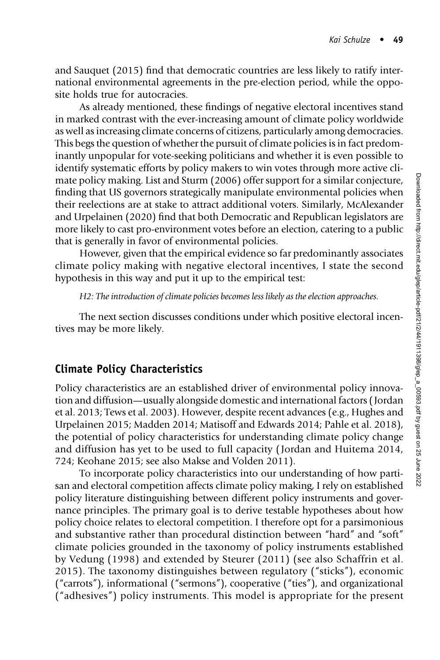and Sauquet (2015) find that democratic countries are less likely to ratify international environmental agreements in the pre-election period, while the opposite holds true for autocracies.

As already mentioned, these findings of negative electoral incentives stand in marked contrast with the ever-increasing amount of climate policy worldwide as well as increasing climate concerns of citizens, particularly among democracies. This begs the question of whether the pursuit of climate policies is in fact predominantly unpopular for vote-seeking politicians and whether it is even possible to identify systematic efforts by policy makers to win votes through more active climate policy making. List and Sturm (2006) offer support for a similar conjecture, finding that US governors strategically manipulate environmental policies when their reelections are at stake to attract additional voters. Similarly, McAlexander and Urpelainen (2020) find that both Democratic and Republican legislators are more likely to cast pro-environment votes before an election, catering to a public that is generally in favor of environmental policies.

However, given that the empirical evidence so far predominantly associates climate policy making with negative electoral incentives, I state the second hypothesis in this way and put it up to the empirical test:

H2: The introduction of climate policies becomes less likely as the election approaches.

The next section discusses conditions under which positive electoral incentives may be more likely.

# Climate Policy Characteristics

Policy characteristics are an established driver of environmental policy innovation and diffusion—usually alongside domestic and international factors ( Jordan et al. 2013; Tews et al. 2003). However, despite recent advances (e.g., Hughes and Urpelainen 2015; Madden 2014; Matisoff and Edwards 2014; Pahle et al. 2018), the potential of policy characteristics for understanding climate policy change and diffusion has yet to be used to full capacity ( Jordan and Huitema 2014, 724; Keohane 2015; see also Makse and Volden 2011).

To incorporate policy characteristics into our understanding of how partisan and electoral competition affects climate policy making, I rely on established policy literature distinguishing between different policy instruments and governance principles. The primary goal is to derive testable hypotheses about how policy choice relates to electoral competition. I therefore opt for a parsimonious and substantive rather than procedural distinction between "hard" and "soft" climate policies grounded in the taxonomy of policy instruments established by Vedung (1998) and extended by Steurer (2011) (see also Schaffrin et al. 2015). The taxonomy distinguishes between regulatory ("sticks"), economic ("carrots"), informational ("sermons"), cooperative ("ties"), and organizational ("adhesives") policy instruments. This model is appropriate for the present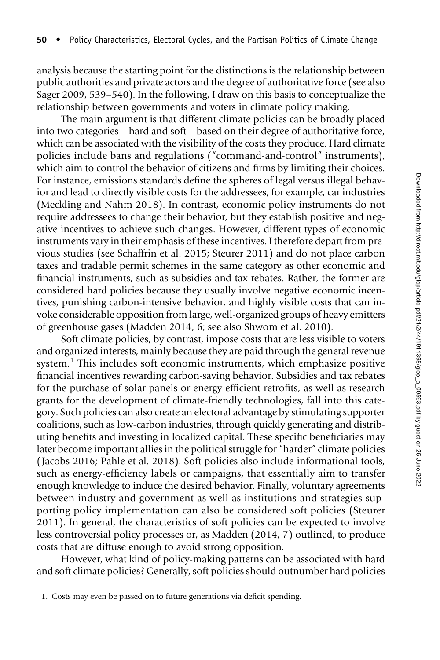analysis because the starting point for the distinctions is the relationship between public authorities and private actors and the degree of authoritative force (see also Sager 2009, 539–540). In the following, I draw on this basis to conceptualize the relationship between governments and voters in climate policy making.

The main argument is that different climate policies can be broadly placed into two categories—hard and soft—based on their degree of authoritative force, which can be associated with the visibility of the costs they produce. Hard climate policies include bans and regulations ("command-and-control" instruments), which aim to control the behavior of citizens and firms by limiting their choices. For instance, emissions standards define the spheres of legal versus illegal behavior and lead to directly visible costs for the addressees, for example, car industries (Meckling and Nahm 2018). In contrast, economic policy instruments do not require addressees to change their behavior, but they establish positive and negative incentives to achieve such changes. However, different types of economic instruments vary in their emphasis of these incentives. I therefore depart from previous studies (see Schaffrin et al. 2015; Steurer 2011) and do not place carbon taxes and tradable permit schemes in the same category as other economic and financial instruments, such as subsidies and tax rebates. Rather, the former are considered hard policies because they usually involve negative economic incentives, punishing carbon-intensive behavior, and highly visible costs that can invoke considerable opposition from large, well-organized groups of heavy emitters of greenhouse gases (Madden 2014, 6; see also Shwom et al. 2010).

Soft climate policies, by contrast, impose costs that are less visible to voters and organized interests, mainly because they are paid through the general revenue system.<sup>1</sup> This includes soft economic instruments, which emphasize positive financial incentives rewarding carbon-saving behavior. Subsidies and tax rebates for the purchase of solar panels or energy efficient retrofits, as well as research grants for the development of climate-friendly technologies, fall into this category. Such policies can also create an electoral advantage by stimulating supporter coalitions, such as low-carbon industries, through quickly generating and distributing benefits and investing in localized capital. These specific beneficiaries may later become important allies in the political struggle for "harder" climate policies ( Jacobs 2016; Pahle et al. 2018). Soft policies also include informational tools, such as energy-efficiency labels or campaigns, that essentially aim to transfer enough knowledge to induce the desired behavior. Finally, voluntary agreements between industry and government as well as institutions and strategies supporting policy implementation can also be considered soft policies (Steurer 2011). In general, the characteristics of soft policies can be expected to involve less controversial policy processes or, as Madden (2014, 7) outlined, to produce costs that are diffuse enough to avoid strong opposition.

However, what kind of policy-making patterns can be associated with hard and soft climate policies? Generally, soft policies should outnumber hard policies

<sup>1.</sup> Costs may even be passed on to future generations via deficit spending.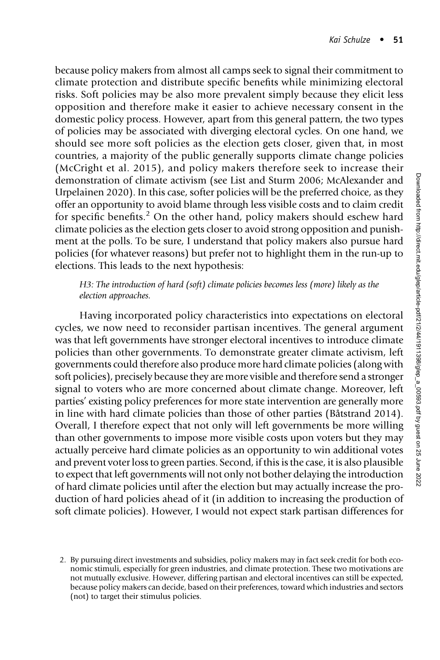because policy makers from almost all camps seek to signal their commitment to climate protection and distribute specific benefits while minimizing electoral risks. Soft policies may be also more prevalent simply because they elicit less opposition and therefore make it easier to achieve necessary consent in the domestic policy process. However, apart from this general pattern, the two types of policies may be associated with diverging electoral cycles. On one hand, we should see more soft policies as the election gets closer, given that, in most countries, a majority of the public generally supports climate change policies (McCright et al. 2015), and policy makers therefore seek to increase their demonstration of climate activism (see List and Sturm 2006; McAlexander and Urpelainen 2020). In this case, softer policies will be the preferred choice, as they offer an opportunity to avoid blame through less visible costs and to claim credit for specific benefits.<sup>2</sup> On the other hand, policy makers should eschew hard climate policies as the election gets closer to avoid strong opposition and punishment at the polls. To be sure, I understand that policy makers also pursue hard policies (for whatever reasons) but prefer not to highlight them in the run-up to elections. This leads to the next hypothesis:

### H3: The introduction of hard (soft) climate policies becomes less (more) likely as the election approaches.

Having incorporated policy characteristics into expectations on electoral cycles, we now need to reconsider partisan incentives. The general argument was that left governments have stronger electoral incentives to introduce climate policies than other governments. To demonstrate greater climate activism, left governments could therefore also produce more hard climate policies (along with soft policies), precisely because they are more visible and therefore send a stronger signal to voters who are more concerned about climate change. Moreover, left parties' existing policy preferences for more state intervention are generally more in line with hard climate policies than those of other parties (Båtstrand 2014). Overall, I therefore expect that not only will left governments be more willing than other governments to impose more visible costs upon voters but they may actually perceive hard climate policies as an opportunity to win additional votes and prevent voter loss to green parties. Second, if this is the case, it is also plausible to expect that left governments will not only not bother delaying the introduction of hard climate policies until after the election but may actually increase the production of hard policies ahead of it (in addition to increasing the production of soft climate policies). However, I would not expect stark partisan differences for

<sup>2.</sup> By pursuing direct investments and subsidies, policy makers may in fact seek credit for both economic stimuli, especially for green industries, and climate protection. These two motivations are not mutually exclusive. However, differing partisan and electoral incentives can still be expected, because policy makers can decide, based on their preferences, toward which industries and sectors (not) to target their stimulus policies.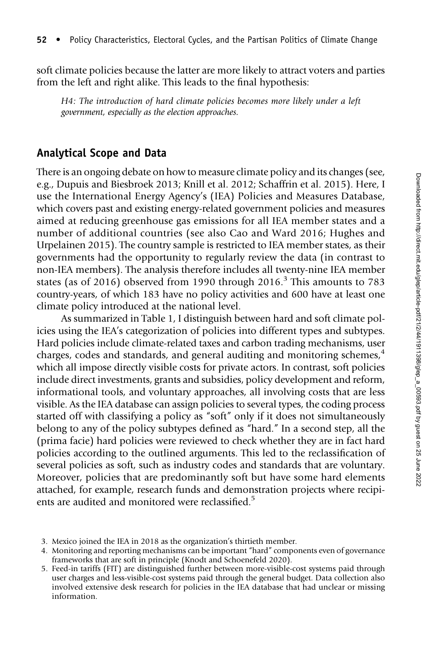soft climate policies because the latter are more likely to attract voters and parties from the left and right alike. This leads to the final hypothesis:

H4: The introduction of hard climate policies becomes more likely under a left government, especially as the election approaches.

## Analytical Scope and Data

There is an ongoing debate on how to measure climate policy and its changes (see, e.g., Dupuis and Biesbroek 2013; Knill et al. 2012; Schaffrin et al. 2015). Here, I use the International Energy Agency's (IEA) Policies and Measures Database, which covers past and existing energy-related government policies and measures aimed at reducing greenhouse gas emissions for all IEA member states and a number of additional countries (see also Cao and Ward 2016; Hughes and Urpelainen 2015). The country sample is restricted to IEA member states, as their governments had the opportunity to regularly review the data (in contrast to non-IEA members). The analysis therefore includes all twenty-nine IEA member states (as of 2016) observed from 1990 through  $2016<sup>3</sup>$  This amounts to 783 country-years, of which 183 have no policy activities and 600 have at least one climate policy introduced at the national level.

As summarized in Table 1, I distinguish between hard and soft climate policies using the IEA's categorization of policies into different types and subtypes. Hard policies include climate-related taxes and carbon trading mechanisms, user charges, codes and standards, and general auditing and monitoring schemes, $4\overline{4}$ which all impose directly visible costs for private actors. In contrast, soft policies include direct investments, grants and subsidies, policy development and reform, informational tools, and voluntary approaches, all involving costs that are less visible. As the IEA database can assign policies to several types, the coding process started off with classifying a policy as "soft" only if it does not simultaneously belong to any of the policy subtypes defined as "hard." In a second step, all the (prima facie) hard policies were reviewed to check whether they are in fact hard policies according to the outlined arguments. This led to the reclassification of several policies as soft, such as industry codes and standards that are voluntary. Moreover, policies that are predominantly soft but have some hard elements attached, for example, research funds and demonstration projects where recipients are audited and monitored were reclassified.<sup>5</sup>

<sup>3.</sup> Mexico joined the IEA in 2018 as the organization's thirtieth member.

<sup>4.</sup> Monitoring and reporting mechanisms can be important "hard" components even of governance frameworks that are soft in principle (Knodt and Schoenefeld 2020).

<sup>5.</sup> Feed-in tariffs (FIT) are distinguished further between more-visible-cost systems paid through user charges and less-visible-cost systems paid through the general budget. Data collection also involved extensive desk research for policies in the IEA database that had unclear or missing information.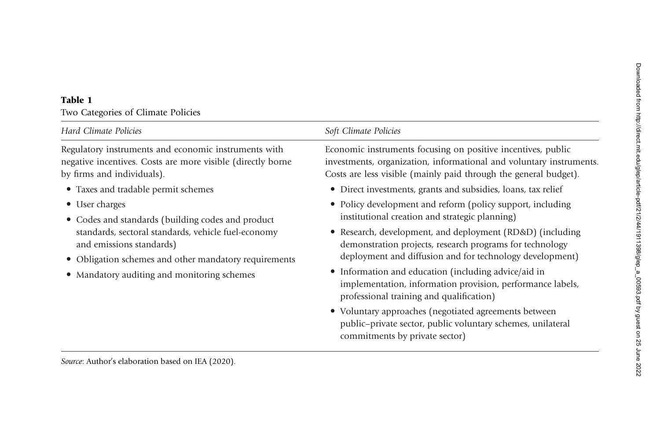#### Table 1

Two Categories of Climate Policies

| <b>Hard Climate Policies</b>                                                                                                                                                                                                                                   | Soft Climate Policies                                                                                                                                                                                                                                                                                                                                                                                                                                               |
|----------------------------------------------------------------------------------------------------------------------------------------------------------------------------------------------------------------------------------------------------------------|---------------------------------------------------------------------------------------------------------------------------------------------------------------------------------------------------------------------------------------------------------------------------------------------------------------------------------------------------------------------------------------------------------------------------------------------------------------------|
| Regulatory instruments and economic instruments with<br>negative incentives. Costs are more visible (directly borne<br>by firms and individuals).                                                                                                              | Economic instruments focusing on positive incentives, public<br>investments, organization, informational and voluntary instruments.<br>Costs are less visible (mainly paid through the general budget).                                                                                                                                                                                                                                                             |
| • Taxes and tradable permit schemes                                                                                                                                                                                                                            | • Direct investments, grants and subsidies, loans, tax relief                                                                                                                                                                                                                                                                                                                                                                                                       |
| • User charges<br>• Codes and standards (building codes and product<br>standards, sectoral standards, vehicle fuel-economy<br>and emissions standards)<br>• Obligation schemes and other mandatory requirements<br>• Mandatory auditing and monitoring schemes | • Policy development and reform (policy support, including<br>institutional creation and strategic planning)<br>• Research, development, and deployment (RD&D) (including<br>demonstration projects, research programs for technology<br>deployment and diffusion and for technology development)<br>• Information and education (including advice/aid in<br>implementation, information provision, performance labels,<br>professional training and qualification) |
| Source: Author's elaboration based on IEA (2020).                                                                                                                                                                                                              | • Voluntary approaches (negotiated agreements between<br>public-private sector, public voluntary schemes, unilateral<br>commitments by private sector)                                                                                                                                                                                                                                                                                                              |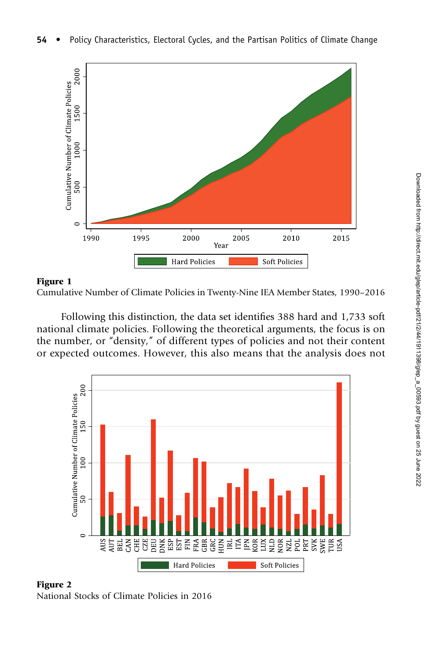



Following this distinction, the data set identifies 388 hard and 1,733 soft national climate policies. Following the theoretical arguments, the focus is on the number, or "density," of different types of policies and not their content or expected outcomes. However, this also means that the analysis does not



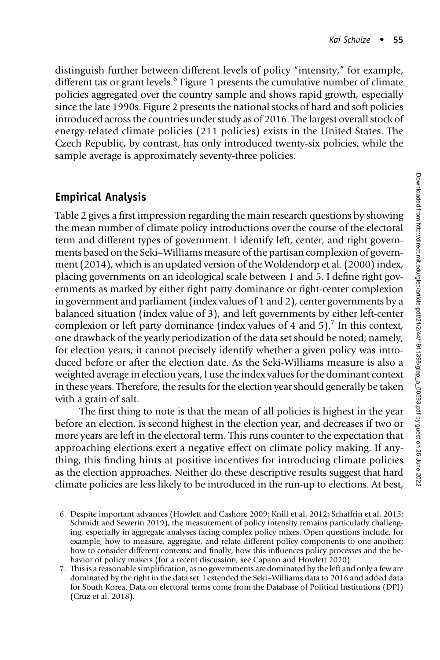distinguish further between different levels of policy "intensity," for example, different tax or grant levels.<sup>6</sup> Figure 1 presents the cumulative number of climate policies aggregated over the country sample and shows rapid growth, especially since the late 1990s. Figure 2 presents the national stocks of hard and soft policies introduced across the countries under study as of 2016. The largest overall stock of energy-related climate policies (211 policies) exists in the United States. The Czech Republic, by contrast, has only introduced twenty-six policies, while the sample average is approximately seventy-three policies.

# Empirical Analysis

Table 2 gives a first impression regarding the main research questions by showing the mean number of climate policy introductions over the course of the electoral term and different types of government. I identify left, center, and right governments based on the Seki–Williams measure of the partisan complexion of government (2014), which is an updated version of the Woldendorp et al. (2000) index, placing governments on an ideological scale between 1 and 5. I define right governments as marked by either right party dominance or right-center complexion in government and parliament (index values of 1 and 2), center governments by a balanced situation (index value of 3), and left governments by either left-center complexion or left party dominance (index values of 4 and 5).<sup>7</sup> In this context, one drawback of the yearly periodization of the data set should be noted; namely, for election years, it cannot precisely identify whether a given policy was introduced before or after the election date. As the Seki-Williams measure is also a weighted average in election years, I use the index values for the dominant context in these years. Therefore, the results for the election year should generally be taken with a grain of salt.

The first thing to note is that the mean of all policies is highest in the year before an election, is second highest in the election year, and decreases if two or more years are left in the electoral term. This runs counter to the expectation that approaching elections exert a negative effect on climate policy making. If anything, this finding hints at positive incentives for introducing climate policies as the election approaches. Neither do these descriptive results suggest that hard climate policies are less likely to be introduced in the run-up to elections. At best,

- 6. Despite important advances (Howlett and Cashore 2009; Knill et al. 2012; Schaffrin et al. 2015; Schmidt and Sewerin 2019), the measurement of policy intensity remains particularly challenging, especially in aggregate analyses facing complex policy mixes. Open questions include, for example, how to measure, aggregate, and relate different policy components to one another; how to consider different contexts; and finally, how this influences policy processes and the behavior of policy makers (for a recent discussion, see Capano and Howlett 2020).
- 7. This is a reasonable simplification, as no governments are dominated by the left and only a few are dominated by the right in the data set. I extended the Seki–Williams data to 2016 and added data for South Korea. Data on electoral terms come from the Database of Political Institutions (DPI) (Cruz et al. 2018).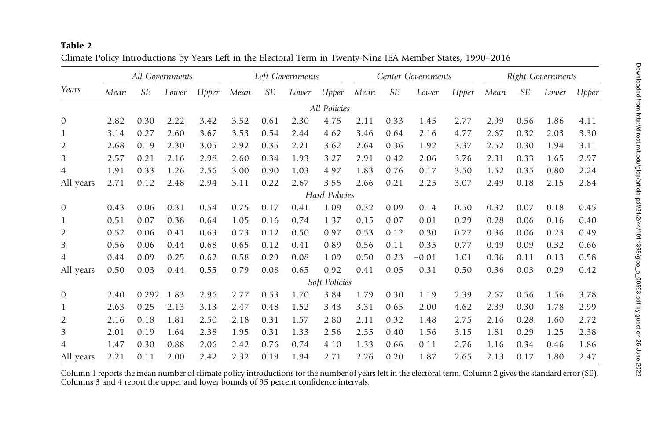#### Table 2

| Climate Policy Introductions by Years Left in the Electoral Term in Twenty-Nine IEA Member States, 1990–2016 |  |  |  |
|--------------------------------------------------------------------------------------------------------------|--|--|--|
|--------------------------------------------------------------------------------------------------------------|--|--|--|

|                |      | All Governments |       |       |      |           | Left Governments |               |      |           | Center Governments |       |      |           | <b>Right Governments</b> |       |
|----------------|------|-----------------|-------|-------|------|-----------|------------------|---------------|------|-----------|--------------------|-------|------|-----------|--------------------------|-------|
| Years          | Mean | <b>SE</b>       | Lower | Upper | Mean | <b>SE</b> | Lower            | Upper         | Mean | <b>SE</b> | Lower              | Upper | Mean | <b>SE</b> | Lower                    | Upper |
|                |      |                 |       |       |      |           |                  | All Policies  |      |           |                    |       |      |           |                          |       |
| $\mathbf{0}$   | 2.82 | 0.30            | 2.22  | 3.42  | 3.52 | 0.61      | 2.30             | 4.75          | 2.11 | 0.33      | 1.45               | 2.77  | 2.99 | 0.56      | 1.86                     | 4.11  |
| $\mathbf{1}$   | 3.14 | 0.27            | 2.60  | 3.67  | 3.53 | 0.54      | 2.44             | 4.62          | 3.46 | 0.64      | 2.16               | 4.77  | 2.67 | 0.32      | 2.03                     | 3.30  |
| $\overline{2}$ | 2.68 | 0.19            | 2.30  | 3.05  | 2.92 | 0.35      | 2.21             | 3.62          | 2.64 | 0.36      | 1.92               | 3.37  | 2.52 | 0.30      | 1.94                     | 3.11  |
| 3              | 2.57 | 0.21            | 2.16  | 2.98  | 2.60 | 0.34      | 1.93             | 3.27          | 2.91 | 0.42      | 2.06               | 3.76  | 2.31 | 0.33      | 1.65                     | 2.97  |
| 4              | 1.91 | 0.33            | 1.26  | 2.56  | 3.00 | 0.90      | 1.03             | 4.97          | 1.83 | 0.76      | 0.17               | 3.50  | 1.52 | 0.35      | 0.80                     | 2.24  |
| All years      | 2.71 | 0.12            | 2.48  | 2.94  | 3.11 | 0.22      | 2.67             | 3.55          | 2.66 | 0.21      | 2.25               | 3.07  | 2.49 | 0.18      | 2.15                     | 2.84  |
|                |      |                 |       |       |      |           |                  | Hard Policies |      |           |                    |       |      |           |                          |       |
| $\mathbf{0}$   | 0.43 | 0.06            | 0.31  | 0.54  | 0.75 | 0.17      | 0.41             | 1.09          | 0.32 | 0.09      | 0.14               | 0.50  | 0.32 | 0.07      | 0.18                     | 0.45  |
| 1              | 0.51 | 0.07            | 0.38  | 0.64  | 1.05 | 0.16      | 0.74             | 1.37          | 0.15 | 0.07      | 0.01               | 0.29  | 0.28 | 0.06      | 0.16                     | 0.40  |
| $\overline{2}$ | 0.52 | 0.06            | 0.41  | 0.63  | 0.73 | 0.12      | 0.50             | 0.97          | 0.53 | 0.12      | 0.30               | 0.77  | 0.36 | 0.06      | 0.23                     | 0.49  |
| 3              | 0.56 | 0.06            | 0.44  | 0.68  | 0.65 | 0.12      | 0.41             | 0.89          | 0.56 | 0.11      | 0.35               | 0.77  | 0.49 | 0.09      | 0.32                     | 0.66  |
| 4              | 0.44 | 0.09            | 0.25  | 0.62  | 0.58 | 0.29      | 0.08             | 1.09          | 0.50 | 0.23      | $-0.01$            | 1.01  | 0.36 | 0.11      | 0.13                     | 0.58  |
| All years      | 0.50 | 0.03            | 0.44  | 0.55  | 0.79 | 0.08      | 0.65             | 0.92          | 0.41 | 0.05      | 0.31               | 0.50  | 0.36 | 0.03      | 0.29                     | 0.42  |
|                |      |                 |       |       |      |           |                  | Soft Policies |      |           |                    |       |      |           |                          |       |
| $\mathbf{0}$   | 2.40 | 0.292           | 1.83  | 2.96  | 2.77 | 0.53      | 1.70             | 3.84          | 1.79 | 0.30      | 1.19               | 2.39  | 2.67 | 0.56      | 1.56                     | 3.78  |
| 1              | 2.63 | 0.25            | 2.13  | 3.13  | 2.47 | 0.48      | 1.52             | 3.43          | 3.31 | 0.65      | 2.00               | 4.62  | 2.39 | 0.30      | 1.78                     | 2.99  |
| $\overline{2}$ | 2.16 | 0.18            | 1.81  | 2.50  | 2.18 | 0.31      | 1.57             | 2.80          | 2.11 | 0.32      | 1.48               | 2.75  | 2.16 | 0.28      | 1.60                     | 2.72  |
| 3              | 2.01 | 0.19            | 1.64  | 2.38  | 1.95 | 0.31      | 1.33             | 2.56          | 2.35 | 0.40      | 1.56               | 3.15  | 1.81 | 0.29      | 1.25                     | 2.38  |
| 4              | 1.47 | 0.30            | 0.88  | 2.06  | 2.42 | 0.76      | 0.74             | 4.10          | 1.33 | 0.66      | $-0.11$            | 2.76  | 1.16 | 0.34      | 0.46                     | 1.86  |
| All years      | 2.21 | 0.11            | 2.00  | 2.42  | 2.32 | 0.19      | 1.94             | 2.71          | 2.26 | 0.20      | 1.87               | 2.65  | 2.13 | 0.17      | 1.80                     | 2.47  |

Column <sup>1</sup> reports the mean number of climate policy introductions for the number of years left in the electoral term. Column <sup>2</sup> gives the standard error (SE). Columns <sup>3</sup> and <sup>4</sup> report the upper and lower bounds of 95 percent confidence intervals.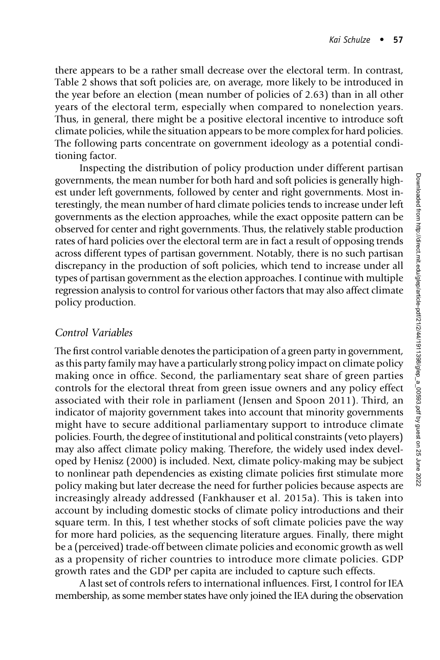there appears to be a rather small decrease over the electoral term. In contrast, Table 2 shows that soft policies are, on average, more likely to be introduced in the year before an election (mean number of policies of 2.63) than in all other years of the electoral term, especially when compared to nonelection years. Thus, in general, there might be a positive electoral incentive to introduce soft climate policies, while the situation appears to be more complex for hard policies. The following parts concentrate on government ideology as a potential conditioning factor.

Inspecting the distribution of policy production under different partisan governments, the mean number for both hard and soft policies is generally highest under left governments, followed by center and right governments. Most interestingly, the mean number of hard climate policies tends to increase under left governments as the election approaches, while the exact opposite pattern can be observed for center and right governments. Thus, the relatively stable production rates of hard policies over the electoral term are in fact a result of opposing trends across different types of partisan government. Notably, there is no such partisan discrepancy in the production of soft policies, which tend to increase under all types of partisan government as the election approaches. I continue with multiple regression analysis to control for various other factors that may also affect climate policy production.

## Control Variables

The first control variable denotes the participation of a green party in government, as this party family may have a particularly strong policy impact on climate policy making once in office. Second, the parliamentary seat share of green parties controls for the electoral threat from green issue owners and any policy effect associated with their role in parliament (Jensen and Spoon 2011). Third, an indicator of majority government takes into account that minority governments might have to secure additional parliamentary support to introduce climate policies. Fourth, the degree of institutional and political constraints (veto players) may also affect climate policy making. Therefore, the widely used index developed by Henisz (2000) is included. Next, climate policy-making may be subject to nonlinear path dependencies as existing climate policies first stimulate more policy making but later decrease the need for further policies because aspects are increasingly already addressed (Fankhauser et al. 2015a). This is taken into account by including domestic stocks of climate policy introductions and their square term. In this, I test whether stocks of soft climate policies pave the way for more hard policies, as the sequencing literature argues. Finally, there might be a (perceived) trade-off between climate policies and economic growth as well as a propensity of richer countries to introduce more climate policies. GDP growth rates and the GDP per capita are included to capture such effects.

A last set of controls refers to international influences. First, I control for IEA membership, as some member states have only joined the IEA during the observation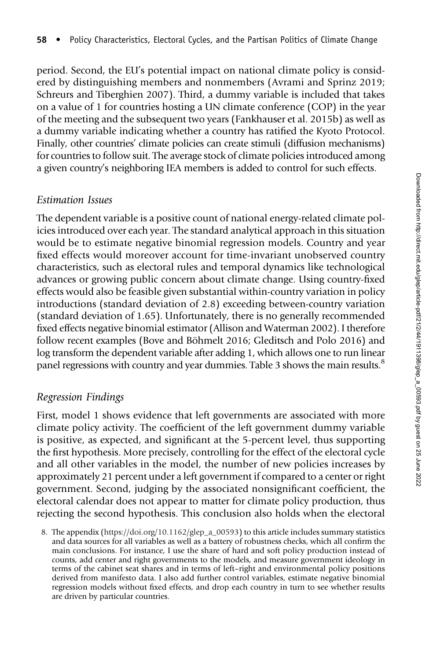period. Second, the EU's potential impact on national climate policy is considered by distinguishing members and nonmembers (Avrami and Sprinz 2019; Schreurs and Tiberghien 2007). Third, a dummy variable is included that takes on a value of 1 for countries hosting a UN climate conference (COP) in the year of the meeting and the subsequent two years (Fankhauser et al. 2015b) as well as a dummy variable indicating whether a country has ratified the Kyoto Protocol. Finally, other countries' climate policies can create stimuli (diffusion mechanisms) for countries to follow suit. The average stock of climate policies introduced among a given country's neighboring IEA members is added to control for such effects.

## Estimation Issues

The dependent variable is a positive count of national energy-related climate policies introduced over each year. The standard analytical approach in this situation would be to estimate negative binomial regression models. Country and year fixed effects would moreover account for time-invariant unobserved country characteristics, such as electoral rules and temporal dynamics like technological advances or growing public concern about climate change. Using country-fixed effects would also be feasible given substantial within-country variation in policy introductions (standard deviation of 2.8) exceeding between-country variation (standard deviation of 1.65). Unfortunately, there is no generally recommended fixed effects negative binomial estimator (Allison and Waterman 2002). I therefore follow recent examples (Bove and Böhmelt 2016; Gleditsch and Polo 2016) and log transform the dependent variable after adding 1, which allows one to run linear panel regressions with country and year dummies. Table 3 shows the main results.<sup>8</sup>

# Regression Findings

First, model 1 shows evidence that left governments are associated with more climate policy activity. The coefficient of the left government dummy variable is positive, as expected, and significant at the 5-percent level, thus supporting the first hypothesis. More precisely, controlling for the effect of the electoral cycle and all other variables in the model, the number of new policies increases by approximately 21 percent under a left government if compared to a center or right government. Second, judging by the associated nonsignificant coefficient, the electoral calendar does not appear to matter for climate policy production, thus rejecting the second hypothesis. This conclusion also holds when the electoral

<sup>8.</sup> The appendix [\(https://doi.org/10.1162/glep\\_a\\_00593\)](https://doi.org/10.1162/glep_a_00593) to this article includes summary statistics and data sources for all variables as well as a battery of robustness checks, which all confirm the main conclusions. For instance, I use the share of hard and soft policy production instead of counts, add center and right governments to the models, and measure government ideology in terms of the cabinet seat shares and in terms of left–right and environmental policy positions derived from manifesto data. I also add further control variables, estimate negative binomial regression models without fixed effects, and drop each country in turn to see whether results are driven by particular countries.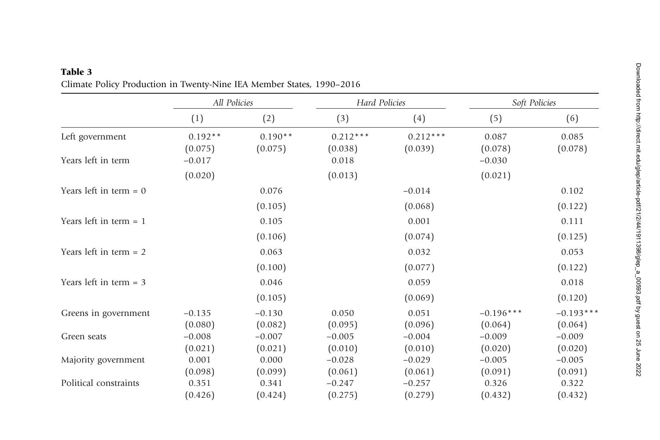|                          | All Policies         |                      | Hard Policies         |                       | Soft Policies    |                  |  |
|--------------------------|----------------------|----------------------|-----------------------|-----------------------|------------------|------------------|--|
|                          | (1)                  | (2)                  | (3)                   | (4)                   | (5)              | (6)              |  |
| Left government          | $0.192**$<br>(0.075) | $0.190**$<br>(0.075) | $0.212***$<br>(0.038) | $0.212***$<br>(0.039) | 0.087<br>(0.078) | 0.085<br>(0.078) |  |
| Years left in term       | $-0.017$             |                      | 0.018                 |                       | $-0.030$         |                  |  |
|                          | (0.020)              |                      | (0.013)               |                       | (0.021)          |                  |  |
| Years left in term $= 0$ |                      | 0.076                |                       | $-0.014$              |                  | 0.102            |  |
|                          |                      | (0.105)              |                       | (0.068)               |                  | (0.122)          |  |
| Years left in term $= 1$ |                      | 0.105                |                       | 0.001                 |                  | 0.111            |  |
|                          |                      | (0.106)              |                       | (0.074)               |                  | (0.125)          |  |
| Years left in term $= 2$ |                      | 0.063                |                       | 0.032                 |                  | 0.053            |  |
|                          |                      | (0.100)              |                       | (0.077)               |                  | (0.122)          |  |
| Years left in term $=$ 3 |                      | 0.046                |                       | 0.059                 |                  | 0.018            |  |
|                          |                      | (0.105)              |                       | (0.069)               |                  | (0.120)          |  |
| Greens in government     | $-0.135$             | $-0.130$             | 0.050                 | 0.051                 | $-0.196***$      | $-0.193***$      |  |
|                          | (0.080)              | (0.082)              | (0.095)               | (0.096)               | (0.064)          | (0.064)          |  |
| Green seats              | $-0.008$             | $-0.007$             | $-0.005$              | $-0.004$              | $-0.009$         | $-0.009$         |  |
|                          | (0.021)              | (0.021)              | (0.010)               | (0.010)               | (0.020)          | (0.020)          |  |
| Majority government      | 0.001                | 0.000                | $-0.028$              | $-0.029$              | $-0.005$         | $-0.005$         |  |
|                          | (0.098)              | (0.099)              | (0.061)               | (0.061)               | (0.091)          | (0.091)          |  |
| Political constraints    | 0.351                | 0.341                | $-0.247$              | $-0.257$              | 0.326            | 0.322            |  |
|                          | (0.426)              | (0.424)              | (0.275)               | (0.279)               | (0.432)          | (0.432)          |  |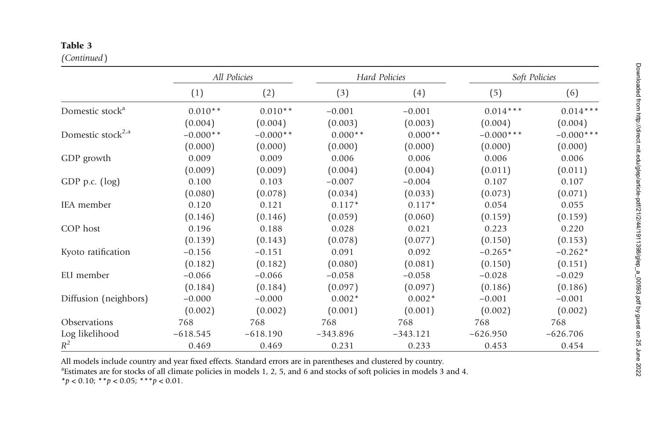#### Table 3

(Continued)

|                               |            | All Policies |            | Hard Policies |                                                                                                                                                                                       |              |
|-------------------------------|------------|--------------|------------|---------------|---------------------------------------------------------------------------------------------------------------------------------------------------------------------------------------|--------------|
|                               | (1)        | (2)          | (3)        | (4)           | (5)                                                                                                                                                                                   | (6)          |
| Domestic stock <sup>a</sup>   | $0.010**$  | $0.010**$    | $-0.001$   | $-0.001$      | $0.014***$                                                                                                                                                                            | $0.014***$   |
|                               | (0.004)    | (0.004)      | (0.003)    | (0.003)       | (0.004)                                                                                                                                                                               | (0.004)      |
| Domestic stock <sup>2,a</sup> | $-0.000**$ | $-0.000**$   | $0.000**$  | $0.000**$     | $-0.000***$                                                                                                                                                                           | $-0.000$ *** |
|                               | (0.000)    | (0.000)      | (0.000)    | (0.000)       | Soft Policies<br>(0.000)<br>0.006<br>(0.011)<br>0.107<br>(0.073)<br>0.054<br>(0.159)<br>0.223<br>(0.150)<br>$-0.265*$<br>(0.150)<br>$-0.028$<br>(0.186)<br>$-0.001$<br>(0.002)<br>768 | (0.000)      |
| GDP growth                    | 0.009      | 0.009        | 0.006      | 0.006         |                                                                                                                                                                                       | 0.006        |
|                               | (0.009)    | (0.009)      | (0.004)    | (0.004)       |                                                                                                                                                                                       | (0.011)      |
| GDP p.c. (log)                | 0.100      | 0.103        | $-0.007$   | $-0.004$      |                                                                                                                                                                                       | 0.107        |
|                               | (0.080)    | (0.078)      | (0.034)    | (0.033)       |                                                                                                                                                                                       | (0.071)      |
| IEA member                    | 0.120      | 0.121        | $0.117*$   | $0.117*$      |                                                                                                                                                                                       | 0.055        |
|                               | (0.146)    | (0.146)      | (0.059)    | (0.060)       |                                                                                                                                                                                       | (0.159)      |
| COP host                      | 0.196      | 0.188        | 0.028      | 0.021         |                                                                                                                                                                                       | 0.220        |
|                               | (0.139)    | (0.143)      | (0.078)    | (0.077)       |                                                                                                                                                                                       | (0.153)      |
| Kyoto ratification            | $-0.156$   | $-0.151$     | 0.091      | 0.092         |                                                                                                                                                                                       | $-0.262*$    |
|                               | (0.182)    | (0.182)      | (0.080)    | (0.081)       |                                                                                                                                                                                       | (0.151)      |
| EU member                     | $-0.066$   | $-0.066$     | $-0.058$   | $-0.058$      |                                                                                                                                                                                       | $-0.029$     |
|                               | (0.184)    | (0.184)      | (0.097)    | (0.097)       |                                                                                                                                                                                       | (0.186)      |
| Diffusion (neighbors)         | $-0.000$   | $-0.000$     | $0.002*$   | $0.002*$      |                                                                                                                                                                                       | $-0.001$     |
|                               | (0.002)    | (0.002)      | (0.001)    | (0.001)       |                                                                                                                                                                                       | (0.002)      |
| Observations                  | 768        | 768          | 768        | 768           |                                                                                                                                                                                       | 768          |
| Log likelihood                | $-618.545$ | $-618.190$   | $-343.896$ | $-343.121$    | $-626.950$                                                                                                                                                                            | $-626.706$   |
| $R^2$                         | 0.469      | 0.469        | 0.231      | 0.233         | 0.453                                                                                                                                                                                 | 0.454        |

All models include country and year fixed effects. Standard errors are in parentheses and clustered by country.

<sup>a</sup>Estimates are for stocks of all climate policies in models 1, 2, 5, and 6 and stocks of soft policies in models  $3$  and 4.

 $**p* < 0.10; ***p* < 0.05; ***p* < 0.01.$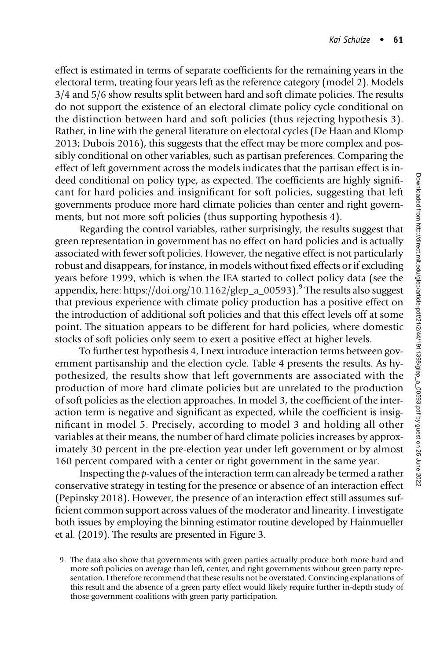effect is estimated in terms of separate coefficients for the remaining years in the electoral term, treating four years left as the reference category (model 2). Models 3/4 and 5/6 show results split between hard and soft climate policies. The results do not support the existence of an electoral climate policy cycle conditional on the distinction between hard and soft policies (thus rejecting hypothesis 3). Rather, in line with the general literature on electoral cycles (De Haan and Klomp 2013; Dubois 2016), this suggests that the effect may be more complex and possibly conditional on other variables, such as partisan preferences. Comparing the effect of left government across the models indicates that the partisan effect is indeed conditional on policy type, as expected. The coefficients are highly significant for hard policies and insignificant for soft policies, suggesting that left governments produce more hard climate policies than center and right governments, but not more soft policies (thus supporting hypothesis 4).

Regarding the control variables, rather surprisingly, the results suggest that green representation in government has no effect on hard policies and is actually associated with fewer soft policies. However, the negative effect is not particularly robust and disappears, for instance, in models without fixed effects or if excluding years before 1999, which is when the IEA started to collect policy data (see the appendix, here: [https://doi.org/10.1162/glep\\_a\\_00593\)](https://doi.org/10.1162/glep_a_00593).<sup>9</sup> The results also suggest that previous experience with climate policy production has a positive effect on the introduction of additional soft policies and that this effect levels off at some point. The situation appears to be different for hard policies, where domestic stocks of soft policies only seem to exert a positive effect at higher levels.

To further test hypothesis 4, I next introduce interaction terms between government partisanship and the election cycle. Table 4 presents the results. As hypothesized, the results show that left governments are associated with the production of more hard climate policies but are unrelated to the production of soft policies as the election approaches. In model 3, the coefficient of the interaction term is negative and significant as expected, while the coefficient is insignificant in model 5. Precisely, according to model 3 and holding all other variables at their means, the number of hard climate policies increases by approximately 30 percent in the pre-election year under left government or by almost 160 percent compared with a center or right government in the same year.

Inspecting the p-values of the interaction term can already be termed a rather conservative strategy in testing for the presence or absence of an interaction effect (Pepinsky 2018). However, the presence of an interaction effect still assumes sufficient common support across values of the moderator and linearity. I investigate both issues by employing the binning estimator routine developed by Hainmueller et al. (2019). The results are presented in Figure 3.

<sup>9.</sup> The data also show that governments with green parties actually produce both more hard and more soft policies on average than left, center, and right governments without green party representation. I therefore recommend that these results not be overstated. Convincing explanations of this result and the absence of a green party effect would likely require further in-depth study of those government coalitions with green party participation.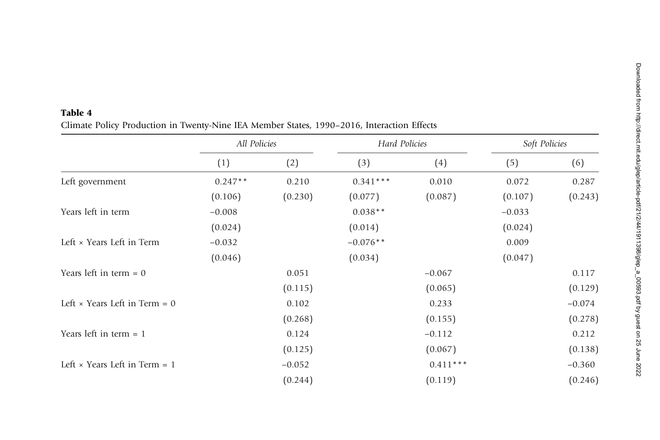|                                      | All Policies |          | Hard Policies |            | Soft Policies |          |  |
|--------------------------------------|--------------|----------|---------------|------------|---------------|----------|--|
|                                      | (1)          | (2)      | (3)           | (4)        | (5)           | (6)      |  |
| Left government                      | $0.247**$    | 0.210    | $0.341***$    | 0.010      | 0.072         | 0.287    |  |
|                                      | (0.106)      | (0.230)  | (0.077)       | (0.087)    | (0.107)       | (0.243)  |  |
| Years left in term                   | $-0.008$     |          | $0.038**$     |            | $-0.033$      |          |  |
|                                      | (0.024)      |          | (0.014)       |            | (0.024)       |          |  |
| Left × Years Left in Term            | $-0.032$     |          | $-0.076**$    |            | 0.009         |          |  |
|                                      | (0.046)      |          | (0.034)       |            | (0.047)       |          |  |
| Years left in term $= 0$             |              | 0.051    |               | $-0.067$   |               | 0.117    |  |
|                                      |              | (0.115)  |               | (0.065)    |               | (0.129)  |  |
| Left $\times$ Years Left in Term = 0 |              | 0.102    |               | 0.233      |               | $-0.074$ |  |
|                                      |              | (0.268)  |               | (0.155)    |               | (0.278)  |  |
| Years left in term $= 1$             |              | 0.124    |               | $-0.112$   |               | 0.212    |  |
|                                      |              | (0.125)  |               | (0.067)    |               | (0.138)  |  |
| Left $\times$ Years Left in Term = 1 |              | $-0.052$ |               | $0.411***$ |               | $-0.360$ |  |
|                                      |              | (0.244)  |               | (0.119)    |               | (0.246)  |  |

## Table 4 Climate Policy Production in Twenty-Nine IEA Member States, <sup>1990</sup>–2016, Interaction Effects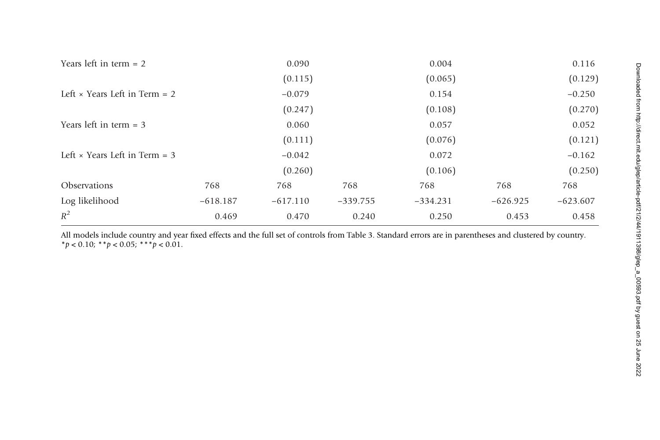| Years left in term $= 2$             |            | 0.090      |            | 0.004      |            | 0.116      |
|--------------------------------------|------------|------------|------------|------------|------------|------------|
|                                      |            | (0.115)    |            | (0.065)    |            | (0.129)    |
| Left $\times$ Years Left in Term = 2 |            | $-0.079$   |            | 0.154      |            | $-0.250$   |
|                                      |            | (0.247)    |            | (0.108)    |            | (0.270)    |
| Years left in term $=$ 3             |            | 0.060      |            | 0.057      |            | 0.052      |
|                                      |            | (0.111)    |            | (0.076)    |            | (0.121)    |
| Left $\times$ Years Left in Term = 3 |            | $-0.042$   |            | 0.072      |            | $-0.162$   |
|                                      |            | (0.260)    |            | (0.106)    |            | (0.250)    |
| <b>Observations</b>                  | 768        | 768        | 768        | 768        | 768        | 768        |
| Log likelihood                       | $-618.187$ | $-617.110$ | $-339.755$ | $-334.231$ | $-626.925$ | $-623.607$ |
| $R^2$                                | 0.469      | 0.470      | 0.240      | 0.250      | 0.453      | 0.458      |

All models include country and year fixed effects and the full set of controls from Table 3. Standard errors are in parentheses and clustered by country.  $* p < 0.10; * p < 0.05; * * p < 0.01.$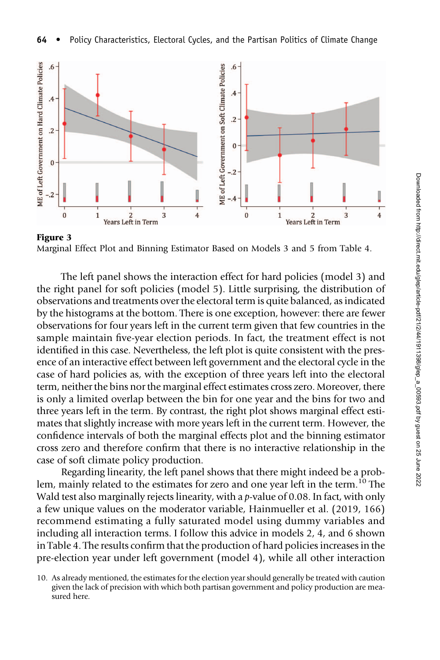

Marginal Effect Plot and Binning Estimator Based on Models 3 and 5 from Table 4.

The left panel shows the interaction effect for hard policies (model 3) and the right panel for soft policies (model 5). Little surprising, the distribution of observations and treatments over the electoral term is quite balanced, as indicated by the histograms at the bottom. There is one exception, however: there are fewer observations for four years left in the current term given that few countries in the sample maintain five-year election periods. In fact, the treatment effect is not identified in this case. Nevertheless, the left plot is quite consistent with the presence of an interactive effect between left government and the electoral cycle in the case of hard policies as, with the exception of three years left into the electoral term, neither the bins nor the marginal effect estimates cross zero. Moreover, there is only a limited overlap between the bin for one year and the bins for two and three years left in the term. By contrast, the right plot shows marginal effect estimates that slightly increase with more years left in the current term. However, the confidence intervals of both the marginal effects plot and the binning estimator cross zero and therefore confirm that there is no interactive relationship in the case of soft climate policy production.

Regarding linearity, the left panel shows that there might indeed be a problem, mainly related to the estimates for zero and one year left in the term.<sup>10</sup> The Wald test also marginally rejects linearity, with a p-value of 0.08. In fact, with only a few unique values on the moderator variable, Hainmueller et al. (2019, 166) recommend estimating a fully saturated model using dummy variables and including all interaction terms. I follow this advice in models 2, 4, and 6 shown in Table 4. The results confirm that the production of hard policies increases in the pre-election year under left government (model 4), while all other interaction

<sup>10.</sup> As already mentioned, the estimates for the election year should generally be treated with caution given the lack of precision with which both partisan government and policy production are measured here.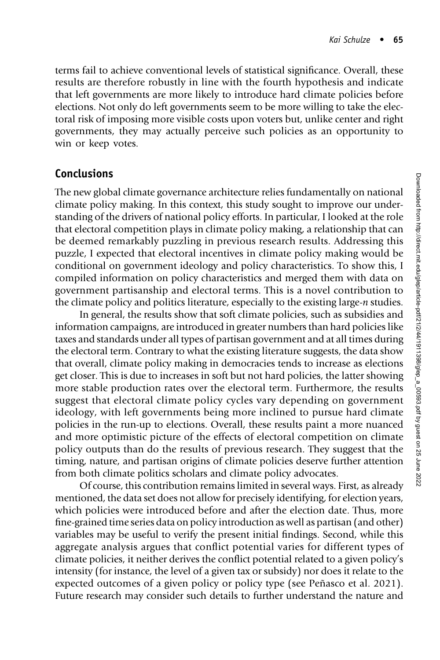terms fail to achieve conventional levels of statistical significance. Overall, these results are therefore robustly in line with the fourth hypothesis and indicate that left governments are more likely to introduce hard climate policies before elections. Not only do left governments seem to be more willing to take the electoral risk of imposing more visible costs upon voters but, unlike center and right governments, they may actually perceive such policies as an opportunity to win or keep votes.

# Conclusions

The new global climate governance architecture relies fundamentally on national climate policy making. In this context, this study sought to improve our understanding of the drivers of national policy efforts. In particular, I looked at the role that electoral competition plays in climate policy making, a relationship that can be deemed remarkably puzzling in previous research results. Addressing this puzzle, I expected that electoral incentives in climate policy making would be conditional on government ideology and policy characteristics. To show this, I compiled information on policy characteristics and merged them with data on government partisanship and electoral terms. This is a novel contribution to the climate policy and politics literature, especially to the existing large-n studies.

In general, the results show that soft climate policies, such as subsidies and information campaigns, are introduced in greater numbers than hard policies like taxes and standards under all types of partisan government and at all times during the electoral term. Contrary to what the existing literature suggests, the data show that overall, climate policy making in democracies tends to increase as elections get closer. This is due to increases in soft but not hard policies, the latter showing more stable production rates over the electoral term. Furthermore, the results suggest that electoral climate policy cycles vary depending on government ideology, with left governments being more inclined to pursue hard climate policies in the run-up to elections. Overall, these results paint a more nuanced and more optimistic picture of the effects of electoral competition on climate policy outputs than do the results of previous research. They suggest that the timing, nature, and partisan origins of climate policies deserve further attention from both climate politics scholars and climate policy advocates.

Of course, this contribution remains limited in several ways. First, as already mentioned, the data set does not allow for precisely identifying, for election years, which policies were introduced before and after the election date. Thus, more fine-grained time series data on policy introduction as well as partisan (and other) variables may be useful to verify the present initial findings. Second, while this aggregate analysis argues that conflict potential varies for different types of climate policies, it neither derives the conflict potential related to a given policy's intensity (for instance, the level of a given tax or subsidy) nor does it relate to the expected outcomes of a given policy or policy type (see Peñasco et al. 2021). Future research may consider such details to further understand the nature and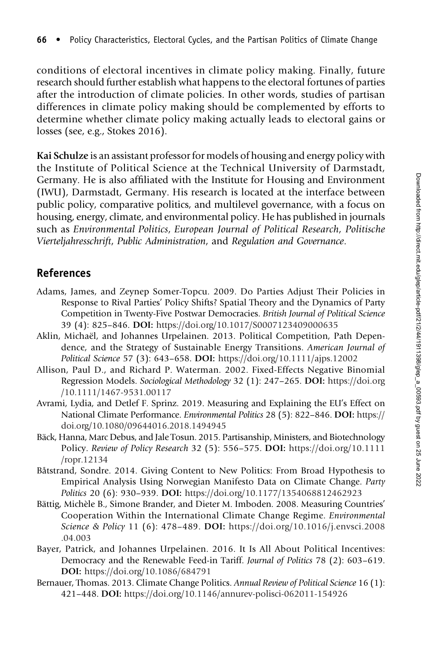conditions of electoral incentives in climate policy making. Finally, future research should further establish what happens to the electoral fortunes of parties after the introduction of climate policies. In other words, studies of partisan differences in climate policy making should be complemented by efforts to determine whether climate policy making actually leads to electoral gains or losses (see, e.g., Stokes 2016).

Kai Schulze is an assistant professor for models of housing and energy policy with the Institute of Political Science at the Technical University of Darmstadt, Germany. He is also affiliated with the Institute for Housing and Environment (IWU), Darmstadt, Germany. His research is located at the interface between public policy, comparative politics, and multilevel governance, with a focus on housing, energy, climate, and environmental policy. He has published in journals such as Environmental Politics, European Journal of Political Research, Politische Vierteljahresschrift, Public Administration, and Regulation and Governance.

## References

- Adams, James, and Zeynep Somer-Topcu. 2009. Do Parties Adjust Their Policies in Response to Rival Parties' Policy Shifts? Spatial Theory and the Dynamics of Party Competition in Twenty-Five Postwar Democracies. British Journal of Political Science 39 (4): 825–846. DOI: <https://doi.org/10.1017/S0007123409000635>
- Aklin, Michaël, and Johannes Urpelainen. 2013. Political Competition, Path Dependence, and the Strategy of Sustainable Energy Transitions. American Journal of Political Science 57 (3): 643–658. DOI: <https://doi.org/10.1111/ajps.12002>
- Allison, Paul D., and Richard P. Waterman. 2002. Fixed-Effects Negative Binomial Regression Models. Sociological Methodology 32 (1): 247–265. DOI: [https://doi.org](https://doi.org/10.1111/1467-9531.00117) [/10.1111/1467-9531.00117](https://doi.org/10.1111/1467-9531.00117)
- Avrami, Lydia, and Detlef F. Sprinz. 2019. Measuring and Explaining the EU's Effect on National Climate Performance. Environmental Politics 28 (5): 822–846. DOI: [https://](https://doi.org/10.1080/09644016.2018.1494945) [doi.org/10.1080/09644016.2018.1494945](https://doi.org/10.1080/09644016.2018.1494945)
- Bäck, Hanna, Marc Debus, and Jale Tosun. 2015. Partisanship, Ministers, and Biotechnology Policy. Review of Policy Research 32 (5): 556–575. DOI: [https://doi.org/10.1111](https://doi.org/10.1111/ropr.12134) [/ropr.12134](https://doi.org/10.1111/ropr.12134)
- Båtstrand, Sondre. 2014. Giving Content to New Politics: From Broad Hypothesis to Empirical Analysis Using Norwegian Manifesto Data on Climate Change. Party Politics 20 (6): 930–939. DOI: <https://doi.org/10.1177/1354068812462923>
- Bättig, Michèle B., Simone Brander, and Dieter M. Imboden. 2008. Measuring Countries' Cooperation Within the International Climate Change Regime. Environmental Science & Policy 11 (6): 478–489. DOI: [https://doi.org/10.1016/j.envsci.2008](https://doi.org/10.1016/j.envsci.2008.04.003) [.04.003](https://doi.org/10.1016/j.envsci.2008.04.003)
- Bayer, Patrick, and Johannes Urpelainen. 2016. It Is All About Political Incentives: Democracy and the Renewable Feed-in Tariff. Journal of Politics 78 (2): 603–619. DOI: <https://doi.org/10.1086/684791>
- Bernauer, Thomas. 2013. Climate Change Politics. Annual Review of Political Science 16 (1): 421–448. DOI: <https://doi.org/10.1146/annurev-polisci-062011-154926>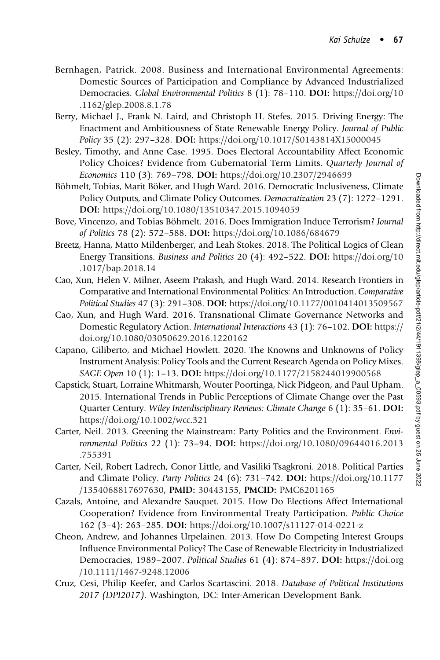- Bernhagen, Patrick. 2008. Business and International Environmental Agreements: Domestic Sources of Participation and Compliance by Advanced Industrialized Democracies. Global Environmental Politics 8 (1): 78–110. DOI: [https://doi.org/10](https://doi.org/10.1162/glep.2008.8.1.78) [.1162/glep.2008.8.1.78](https://doi.org/10.1162/glep.2008.8.1.78)
- Berry, Michael J., Frank N. Laird, and Christoph H. Stefes. 2015. Driving Energy: The Enactment and Ambitiousness of State Renewable Energy Policy. Journal of Public Policy 35 (2): 297–328. DOI: <https://doi.org/10.1017/S0143814X15000045>
- Besley, Timothy, and Anne Case. 1995. Does Electoral Accountability Affect Economic Policy Choices? Evidence from Gubernatorial Term Limits. Quarterly Journal of Economics 110 (3): 769–798. DOI: <https://doi.org/10.2307/2946699>
- Böhmelt, Tobias, Marit Böker, and Hugh Ward. 2016. Democratic Inclusiveness, Climate Policy Outputs, and Climate Policy Outcomes. Democratization 23 (7): 1272–1291. DOI: <https://doi.org/10.1080/13510347.2015.1094059>
- Bove, Vincenzo, and Tobias Böhmelt. 2016. Does Immigration Induce Terrorism? Journal of Politics 78 (2): 572–588. DOI: <https://doi.org/10.1086/684679>
- Breetz, Hanna, Matto Mildenberger, and Leah Stokes. 2018. The Political Logics of Clean Energy Transitions. Business and Politics 20 (4): 492–522. DOI: [https://doi.org/10](https://doi.org/10.1017/bap.2018.14) [.1017/bap.2018.14](https://doi.org/10.1017/bap.2018.14)
- Cao, Xun, Helen V. Milner, Aseem Prakash, and Hugh Ward. 2014. Research Frontiers in Comparative and International Environmental Politics: An Introduction. Comparative Political Studies 47 (3): 291–308. DOI: <https://doi.org/10.1177/0010414013509567>
- Cao, Xun, and Hugh Ward. 2016. Transnational Climate Governance Networks and Domestic Regulatory Action. International Interactions 43 (1): 76–102. DOI: [https://](https://doi.org/10.1080/03050629.2016.1220162) [doi.org/10.1080/03050629.2016.1220162](https://doi.org/10.1080/03050629.2016.1220162)
- Capano, Giliberto, and Michael Howlett. 2020. The Knowns and Unknowns of Policy Instrument Analysis: Policy Tools and the Current Research Agenda on Policy Mixes. SAGE Open 10 (1): 1–13. DOI: <https://doi.org/10.1177/2158244019900568>
- Capstick, Stuart, Lorraine Whitmarsh, Wouter Poortinga, Nick Pidgeon, and Paul Upham. 2015. International Trends in Public Perceptions of Climate Change over the Past Quarter Century. Wiley Interdisciplinary Reviews: Climate Change 6 (1): 35–61. DOI: <https://doi.org/10.1002/wcc.321>
- Carter, Neil. 2013. Greening the Mainstream: Party Politics and the Environment. Environmental Politics 22 (1): 73–94. DOI: [https://doi.org/10.1080/09644016.2013](https://doi.org/10.1080/09644016.2013.755391) [.755391](https://doi.org/10.1080/09644016.2013.755391)
- Carter, Neil, Robert Ladrech, Conor Little, and Vasiliki Tsagkroni. 2018. Political Parties and Climate Policy. Party Politics 24 (6): 731–742. DOI: [https://doi.org/10.1177](https://doi.org/10.1177/1354068817697630) [/1354068817697630,](https://doi.org/10.1177/1354068817697630) PMID: [30443155](https://europepmc.org/article/MED/30443155), PMCID: [PMC6201165](https://www.ncbi.nlm.nih.gov/pmc/articles/PMC6201165)
- Cazals, Antoine, and Alexandre Sauquet. 2015. How Do Elections Affect International Cooperation? Evidence from Environmental Treaty Participation. Public Choice 162 (3–4): 263–285. DOI: <https://doi.org/10.1007/s11127-014-0221-z>
- Cheon, Andrew, and Johannes Urpelainen. 2013. How Do Competing Interest Groups Influence Environmental Policy? The Case of Renewable Electricity in Industrialized Democracies, 1989–2007. Political Studies 61 (4): 874–897. DOI: [https://doi.org](https://doi.org/10.1111/1467-9248.12006) [/10.1111/1467-9248.12006](https://doi.org/10.1111/1467-9248.12006)
- Cruz, Cesi, Philip Keefer, and Carlos Scartascini. 2018. Database of Political Institutions 2017 (DPI2017). Washington, DC: Inter-American Development Bank.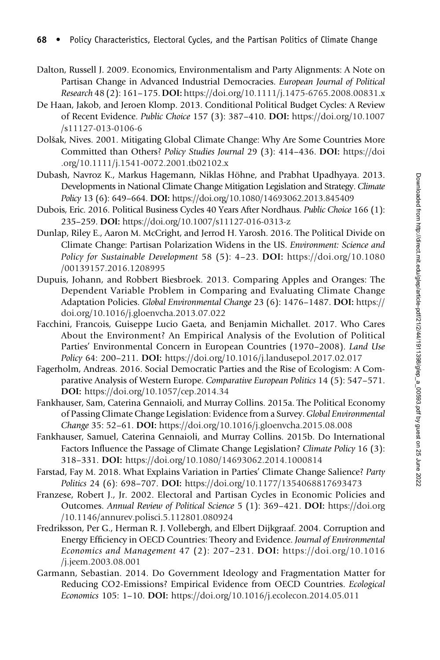- Dalton, Russell J. 2009. Economics, Environmentalism and Party Alignments: A Note on Partisan Change in Advanced Industrial Democracies. European Journal of Political Research 48 (2): 161–175. DOI: <https://doi.org/10.1111/j.1475-6765.2008.00831.x>
- De Haan, Jakob, and Jeroen Klomp. 2013. Conditional Political Budget Cycles: A Review of Recent Evidence. Public Choice 157 (3): 387–410. DOI: [https://doi.org/10.1007](https://doi.org/10.1007/s11127-013-0106-6) [/s11127-013-0106-6](https://doi.org/10.1007/s11127-013-0106-6)
- Dolšak, Nives. 2001. Mitigating Global Climate Change: Why Are Some Countries More Committed than Others? Policy Studies Journal 29 (3): 414–436. DOI: [https://doi](https://doi.org/10.1111/j.1541-0072.2001.tb02102.x) [.org/10.1111/j.1541-0072.2001.tb02102.x](https://doi.org/10.1111/j.1541-0072.2001.tb02102.x)
- Dubash, Navroz K., Markus Hagemann, Niklas Höhne, and Prabhat Upadhyaya. 2013. Developments in National Climate Change Mitigation Legislation and Strategy. Climate Policy 13 (6): 649–664. DOI: <https://doi.org/10.1080/14693062.2013.845409>
- Dubois, Eric. 2016. Political Business Cycles 40 Years After Nordhaus. Public Choice 166 (1): 235–259. DOI: <https://doi.org/10.1007/s11127-016-0313-z>
- Dunlap, Riley E., Aaron M. McCright, and Jerrod H. Yarosh. 2016. The Political Divide on Climate Change: Partisan Polarization Widens in the US. Environment: Science and Policy for Sustainable Development 58 (5): 4–23. DOI: [https://doi.org/10.1080](https://doi.org/10.1080/00139157.2016.1208995) [/00139157.2016.1208995](https://doi.org/10.1080/00139157.2016.1208995)
- Dupuis, Johann, and Robbert Biesbroek. 2013. Comparing Apples and Oranges: The Dependent Variable Problem in Comparing and Evaluating Climate Change Adaptation Policies. Global Environmental Change 23 (6): 1476–1487. DOI: [https://](https://doi.org/10.1016/j.gloenvcha.2013.07.022) [doi.org/10.1016/j.gloenvcha.2013.07.022](https://doi.org/10.1016/j.gloenvcha.2013.07.022)
- Facchini, Francois, Guiseppe Lucio Gaeta, and Benjamin Michallet. 2017. Who Cares About the Environment? An Empirical Analysis of the Evolution of Political Parties' Environmental Concern in European Countries (1970–2008). Land Use Policy 64: 200–211. DOI: <https://doi.org/10.1016/j.landusepol.2017.02.017>
- Fagerholm, Andreas. 2016. Social Democratic Parties and the Rise of Ecologism: A Comparative Analysis of Western Europe. Comparative European Politics 14 (5): 547–571. DOI: <https://doi.org/10.1057/cep.2014.34>
- Fankhauser, Sam, Caterina Gennaioli, and Murray Collins. 2015a. The Political Economy of Passing Climate Change Legislation: Evidence from a Survey. Global Environmental Change 35: 52–61. DOI: <https://doi.org/10.1016/j.gloenvcha.2015.08.008>
- Fankhauser, Samuel, Caterina Gennaioli, and Murray Collins. 2015b. Do International Factors Influence the Passage of Climate Change Legislation? Climate Policy 16 (3): 318–331. DOI: <https://doi.org/10.1080/14693062.2014.1000814>
- Farstad, Fay M. 2018. What Explains Variation in Parties' Climate Change Salience? Party Politics 24 (6): 698–707. DOI: <https://doi.org/10.1177/1354068817693473>
- Franzese, Robert J., Jr. 2002. Electoral and Partisan Cycles in Economic Policies and Outcomes. Annual Review of Political Science 5 (1): 369–421. DOI: [https://doi.org](https://doi.org/10.1146/annurev.polisci.5.112801.080924) [/10.1146/annurev.polisci.5.112801.080924](https://doi.org/10.1146/annurev.polisci.5.112801.080924)
- Fredriksson, Per G., Herman R. J. Vollebergh, and Elbert Dijkgraaf. 2004. Corruption and Energy Efficiency in OECD Countries: Theory and Evidence. Journal of Environmental Economics and Management 47 (2): 207–231. DOI: [https://doi.org/10.1016](https://doi.org/10.1016/j.jeem.2003.08.001) [/j.jeem.2003.08.001](https://doi.org/10.1016/j.jeem.2003.08.001)
- Garmann, Sebastian. 2014. Do Government Ideology and Fragmentation Matter for Reducing CO2-Emissions? Empirical Evidence from OECD Countries. Ecological Economics 105: 1–10. DOI: <https://doi.org/10.1016/j.ecolecon.2014.05.011>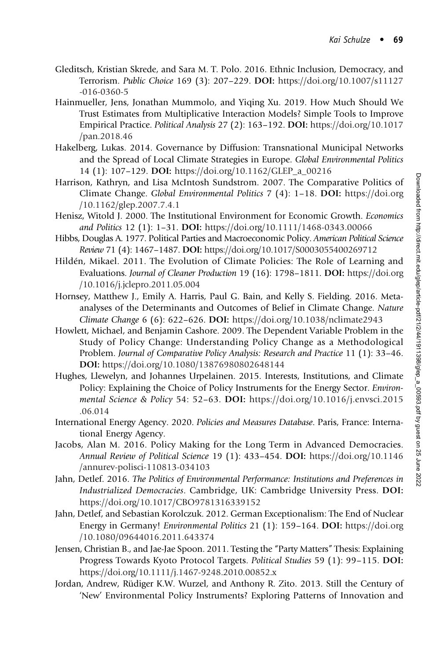- Gleditsch, Kristian Skrede, and Sara M. T. Polo. 2016. Ethnic Inclusion, Democracy, and Terrorism. Public Choice 169 (3): 207–229. DOI: [https://doi.org/10.1007/s11127](https://doi.org/10.1007/s11127-016-0360-5) [-016-0360-5](https://doi.org/10.1007/s11127-016-0360-5)
- Hainmueller, Jens, Jonathan Mummolo, and Yiqing Xu. 2019. How Much Should We Trust Estimates from Multiplicative Interaction Models? Simple Tools to Improve Empirical Practice. Political Analysis 27 (2): 163–192. DOI: [https://doi.org/10.1017](https://doi.org/10.1017/pan.2018.46) [/pan.2018.46](https://doi.org/10.1017/pan.2018.46)
- Hakelberg, Lukas. 2014. Governance by Diffusion: Transnational Municipal Networks and the Spread of Local Climate Strategies in Europe. Global Environmental Politics 14 (1): 107–129. DOI: [https://doi.org/10.1162/GLEP\\_a\\_00216](https://doi.org/10.1162/GLEP_a_00216)
- Harrison, Kathryn, and Lisa McIntosh Sundstrom. 2007. The Comparative Politics of Climate Change. Global Environmental Politics 7 (4): 1–18. DOI: [https://doi.org](https://doi.org/10.1162/glep.2007.7.4.1) [/10.1162/glep.2007.7.4.1](https://doi.org/10.1162/glep.2007.7.4.1)
- Henisz, Witold J. 2000. The Institutional Environment for Economic Growth. Economics and Politics 12 (1): 1–31. DOI: <https://doi.org/10.1111/1468-0343.00066>
- Hibbs, Douglas A. 1977. Political Parties and Macroeconomic Policy. American Political Science Review 71 (4): 1467–1487. DOI: <https://doi.org/10.1017/S0003055400269712>
- Hildén, Mikael. 2011. The Evolution of Climate Policies: The Role of Learning and Evaluations. Journal of Cleaner Production 19 (16): 1798–1811. DOI: [https://doi.org](https://doi.org/10.1016/j.jclepro.2011.05.004) [/10.1016/j.jclepro.2011.05.004](https://doi.org/10.1016/j.jclepro.2011.05.004)
- Hornsey, Matthew J., Emily A. Harris, Paul G. Bain, and Kelly S. Fielding. 2016. Metaanalyses of the Determinants and Outcomes of Belief in Climate Change. Nature Climate Change 6 (6): 622–626. DOI: <https://doi.org/10.1038/nclimate2943>
- Howlett, Michael, and Benjamin Cashore. 2009. The Dependent Variable Problem in the Study of Policy Change: Understanding Policy Change as a Methodological Problem. Journal of Comparative Policy Analysis: Research and Practice 11 (1): 33–46. DOI: <https://doi.org/10.1080/13876980802648144>
- Hughes, Llewelyn, and Johannes Urpelainen. 2015. Interests, Institutions, and Climate Policy: Explaining the Choice of Policy Instruments for the Energy Sector. Environmental Science & Policy 54: 52–63. DOI: [https://doi.org/10.1016/j.envsci.2015](https://doi.org/10.1016/j.envsci.2015.06.014) [.06.014](https://doi.org/10.1016/j.envsci.2015.06.014)
- International Energy Agency. 2020. Policies and Measures Database. Paris, France: International Energy Agency.
- Jacobs, Alan M. 2016. Policy Making for the Long Term in Advanced Democracies. Annual Review of Political Science 19 (1): 433–454. DOI: [https://doi.org/10.1146](https://doi.org/10.1146/annurev-polisci-110813-034103) [/annurev-polisci-110813-034103](https://doi.org/10.1146/annurev-polisci-110813-034103)
- Jahn, Detlef. 2016. The Politics of Environmental Performance: Institutions and Preferences in Industrialized Democracies. Cambridge, UK: Cambridge University Press. DOI: <https://doi.org/10.1017/CBO9781316339152>
- Jahn, Detlef, and Sebastian Korolczuk. 2012. German Exceptionalism: The End of Nuclear Energy in Germany! Environmental Politics 21 (1): 159–164. DOI: [https://doi.org](https://doi.org/10.1080/09644016.2011.643374) [/10.1080/09644016.2011.643374](https://doi.org/10.1080/09644016.2011.643374)
- Jensen, Christian B., and Jae-Jae Spoon. 2011. Testing the "Party Matters" Thesis: Explaining Progress Towards Kyoto Protocol Targets. Political Studies 59 (1): 99–115. DOI: <https://doi.org/10.1111/j.1467-9248.2010.00852.x>
- Jordan, Andrew, Rüdiger K.W. Wurzel, and Anthony R. Zito. 2013. Still the Century of 'New' Environmental Policy Instruments? Exploring Patterns of Innovation and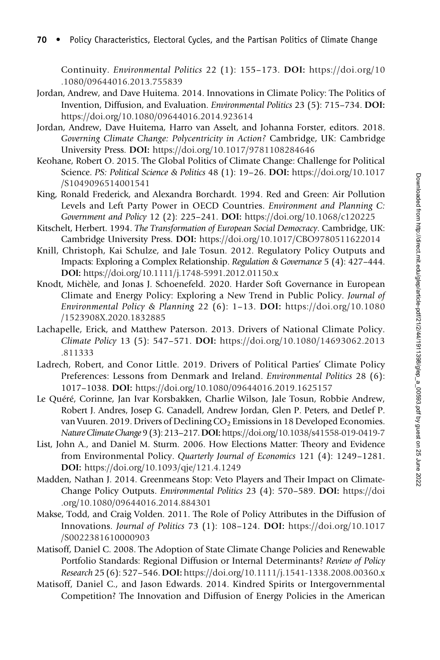Continuity. Environmental Politics 22 (1): 155–173. DOI: [https://doi.org/10](https://doi.org/10.1080/09644016.2013.755839) [.1080/09644016.2013.755839](https://doi.org/10.1080/09644016.2013.755839)

- Jordan, Andrew, and Dave Huitema. 2014. Innovations in Climate Policy: The Politics of Invention, Diffusion, and Evaluation. Environmental Politics 23 (5): 715–734. DOI: <https://doi.org/10.1080/09644016.2014.923614>
- Jordan, Andrew, Dave Huitema, Harro van Asselt, and Johanna Forster, editors. 2018. Governing Climate Change: Polycentricity in Action? Cambridge, UK: Cambridge University Press. DOI: <https://doi.org/10.1017/9781108284646>
- Keohane, Robert O. 2015. The Global Politics of Climate Change: Challenge for Political Science. PS: Political Science & Politics 48 (1): 19–26. DOI: [https://doi.org/10.1017](https://doi.org/10.1017/S1049096514001541) [/S1049096514001541](https://doi.org/10.1017/S1049096514001541)
- King, Ronald Frederick, and Alexandra Borchardt. 1994. Red and Green: Air Pollution Levels and Left Party Power in OECD Countries. Environment and Planning C: Government and Policy 12 (2): 225–241. DOI: <https://doi.org/10.1068/c120225>
- Kitschelt, Herbert. 1994. The Transformation of European Social Democracy. Cambridge, UK: Cambridge University Press. DOI: <https://doi.org/10.1017/CBO9780511622014>
- Knill, Christoph, Kai Schulze, and Jale Tosun. 2012. Regulatory Policy Outputs and Impacts: Exploring a Complex Relationship. Regulation & Governance 5 (4): 427–444. DOI: <https://doi.org/10.1111/j.1748-5991.2012.01150.x>
- Knodt, Michèle, and Jonas J. Schoenefeld. 2020. Harder Soft Governance in European Climate and Energy Policy: Exploring a New Trend in Public Policy. Journal of Environmental Policy & Planning 22 (6): 1–13. DOI: [https://doi.org/10.1080](https://doi.org/10.1080/1523908X.2020.1832885) [/1523908X.2020.1832885](https://doi.org/10.1080/1523908X.2020.1832885)
- Lachapelle, Erick, and Matthew Paterson. 2013. Drivers of National Climate Policy. Climate Policy 13 (5): 547–571. DOI: [https://doi.org/10.1080/14693062.2013](https://doi.org/10.1080/14693062.2013.811333) [.811333](https://doi.org/10.1080/14693062.2013.811333)
- Ladrech, Robert, and Conor Little. 2019. Drivers of Political Parties' Climate Policy Preferences: Lessons from Denmark and Ireland. Environmental Politics 28 (6): 1017–1038. DOI: <https://doi.org/10.1080/09644016.2019.1625157>
- Le Quéré, Corinne, Jan Ivar Korsbakken, Charlie Wilson, Jale Tosun, Robbie Andrew, Robert J. Andres, Josep G. Canadell, Andrew Jordan, Glen P. Peters, and Detlef P. van Vuuren. 2019. Drivers of Declining  $CO<sub>2</sub>$  Emissions in 18 Developed Economies. Nature Climate Change 9 (3): 213–217.DOI: <https://doi.org/10.1038/s41558-019-0419-7>
- List, John A., and Daniel M. Sturm. 2006. How Elections Matter: Theory and Evidence from Environmental Policy. Quarterly Journal of Economics 121 (4): 1249–1281. DOI: <https://doi.org/10.1093/qje/121.4.1249>
- Madden, Nathan J. 2014. Greenmeans Stop: Veto Players and Their Impact on Climate-Change Policy Outputs. Environmental Politics 23 (4): 570–589. DOI: [https://doi](https://doi.org/10.1080/09644016.2014.884301) [.org/10.1080/09644016.2014.884301](https://doi.org/10.1080/09644016.2014.884301)
- Makse, Todd, and Craig Volden. 2011. The Role of Policy Attributes in the Diffusion of Innovations. Journal of Politics 73 (1): 108–124. DOI: [https://doi.org/10.1017](https://doi.org/10.1017/S0022381610000903) [/S0022381610000903](https://doi.org/10.1017/S0022381610000903)
- Matisoff, Daniel C. 2008. The Adoption of State Climate Change Policies and Renewable Portfolio Standards: Regional Diffusion or Internal Determinants? Review of Policy Research 25 (6): 527–546. DOI: <https://doi.org/10.1111/j.1541-1338.2008.00360.x>
- Matisoff, Daniel C., and Jason Edwards. 2014. Kindred Spirits or Intergovernmental Competition? The Innovation and Diffusion of Energy Policies in the American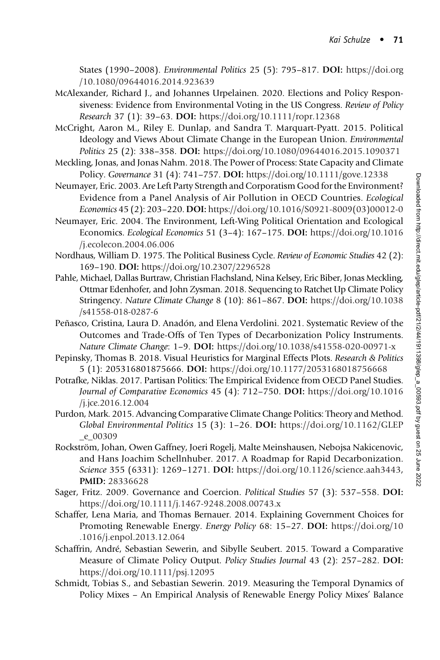States (1990–2008). Environmental Politics 25 (5): 795–817. DOI: [https://doi.org](https://doi.org/10.1080/09644016.2014.923639) [/10.1080/09644016.2014.923639](https://doi.org/10.1080/09644016.2014.923639)

- McAlexander, Richard J., and Johannes Urpelainen. 2020. Elections and Policy Responsiveness: Evidence from Environmental Voting in the US Congress. Review of Policy Research 37 (1): 39–63. DOI: <https://doi.org/10.1111/ropr.12368>
- McCright, Aaron M., Riley E. Dunlap, and Sandra T. Marquart-Pyatt. 2015. Political Ideology and Views About Climate Change in the European Union. Environmental Politics 25 (2): 338–358. DOI: <https://doi.org/10.1080/09644016.2015.1090371>
- Meckling, Jonas, and Jonas Nahm. 2018. The Power of Process: State Capacity and Climate Policy. Governance 31 (4): 741–757. DOI: <https://doi.org/10.1111/gove.12338>
- Neumayer, Eric. 2003. Are Left Party Strength and Corporatism Good for the Environment? Evidence from a Panel Analysis of Air Pollution in OECD Countries. Ecological Economics 45 (2): 203–220. DOI: [https://doi.org/10.1016/S0921-8009\(03\)00012-0](https://doi.org/10.1016/S0921-8009(03)00012-0)
- Neumayer, Eric. 2004. The Environment, Left-Wing Political Orientation and Ecological Economics. Ecological Economics 51 (3–4): 167–175. DOI: [https://doi.org/10.1016](https://doi.org/10.1016/j.ecolecon.2004.06.006) [/j.ecolecon.2004.06.006](https://doi.org/10.1016/j.ecolecon.2004.06.006)
- Nordhaus, William D. 1975. The Political Business Cycle. Review of Economic Studies 42 (2): 169–190. DOI: <https://doi.org/10.2307/2296528>
- Pahle, Michael, Dallas Burtraw, Christian Flachsland, Nina Kelsey, Eric Biber, Jonas Meckling, Ottmar Edenhofer, and John Zysman. 2018. Sequencing to Ratchet Up Climate Policy Stringency. Nature Climate Change 8 (10): 861–867. DOI: [https://doi.org/10.1038](https://doi.org/10.1038/s41558-018-0287-6) [/s41558-018-0287-6](https://doi.org/10.1038/s41558-018-0287-6)
- Peñasco, Cristina, Laura D. Anadón, and Elena Verdolini. 2021. Systematic Review of the Outcomes and Trade-Offs of Ten Types of Decarbonization Policy Instruments. Nature Climate Change: 1–9. DOI: <https://doi.org/10.1038/s41558-020-00971-x>
- Pepinsky, Thomas B. 2018. Visual Heuristics for Marginal Effects Plots. Research & Politics 5 (1): 205316801875666. DOI: <https://doi.org/10.1177/2053168018756668>
- Potrafke, Niklas. 2017. Partisan Politics: The Empirical Evidence from OECD Panel Studies. Journal of Comparative Economics 45 (4): 712–750. DOI: [https://doi.org/10.1016](https://doi.org/10.1016/j.jce.2016.12.004) [/j.jce.2016.12.004](https://doi.org/10.1016/j.jce.2016.12.004)
- Purdon, Mark. 2015. Advancing Comparative Climate Change Politics: Theory and Method. Global Environmental Politics 15 (3): 1–26. DOI: [https://doi.org/10.1162/GLEP](https://doi.org/10.1162/GLEP_e_00309) [\\_e\\_00309](https://doi.org/10.1162/GLEP_e_00309)
- Rockström, Johan, Owen Gaffney, Joeri Rogelj, Malte Meinshausen, Nebojsa Nakicenovic, and Hans Joachim Schellnhuber. 2017. A Roadmap for Rapid Decarbonization. Science 355 (6331): 1269-1271. DOI: [https://doi.org/10.1126/science.aah3443,](https://doi.org/10.1126/science.aah3443) PMID: [28336628](https://europepmc.org/article/MED/28336628)
- Sager, Fritz. 2009. Governance and Coercion. Political Studies 57 (3): 537–558. DOI: <https://doi.org/10.1111/j.1467-9248.2008.00743.x>
- Schaffer, Lena Maria, and Thomas Bernauer. 2014. Explaining Government Choices for Promoting Renewable Energy. Energy Policy 68: 15–27. DOI: [https://doi.org/10](https://doi.org/10.1016/j.enpol.2013.12.064) [.1016/j.enpol.2013.12.064](https://doi.org/10.1016/j.enpol.2013.12.064)
- Schaffrin, André, Sebastian Sewerin, and Sibylle Seubert. 2015. Toward a Comparative Measure of Climate Policy Output. Policy Studies Journal 43 (2): 257–282. DOI: <https://doi.org/10.1111/psj.12095>
- Schmidt, Tobias S., and Sebastian Sewerin. 2019. Measuring the Temporal Dynamics of Policy Mixes – An Empirical Analysis of Renewable Energy Policy Mixes' Balance